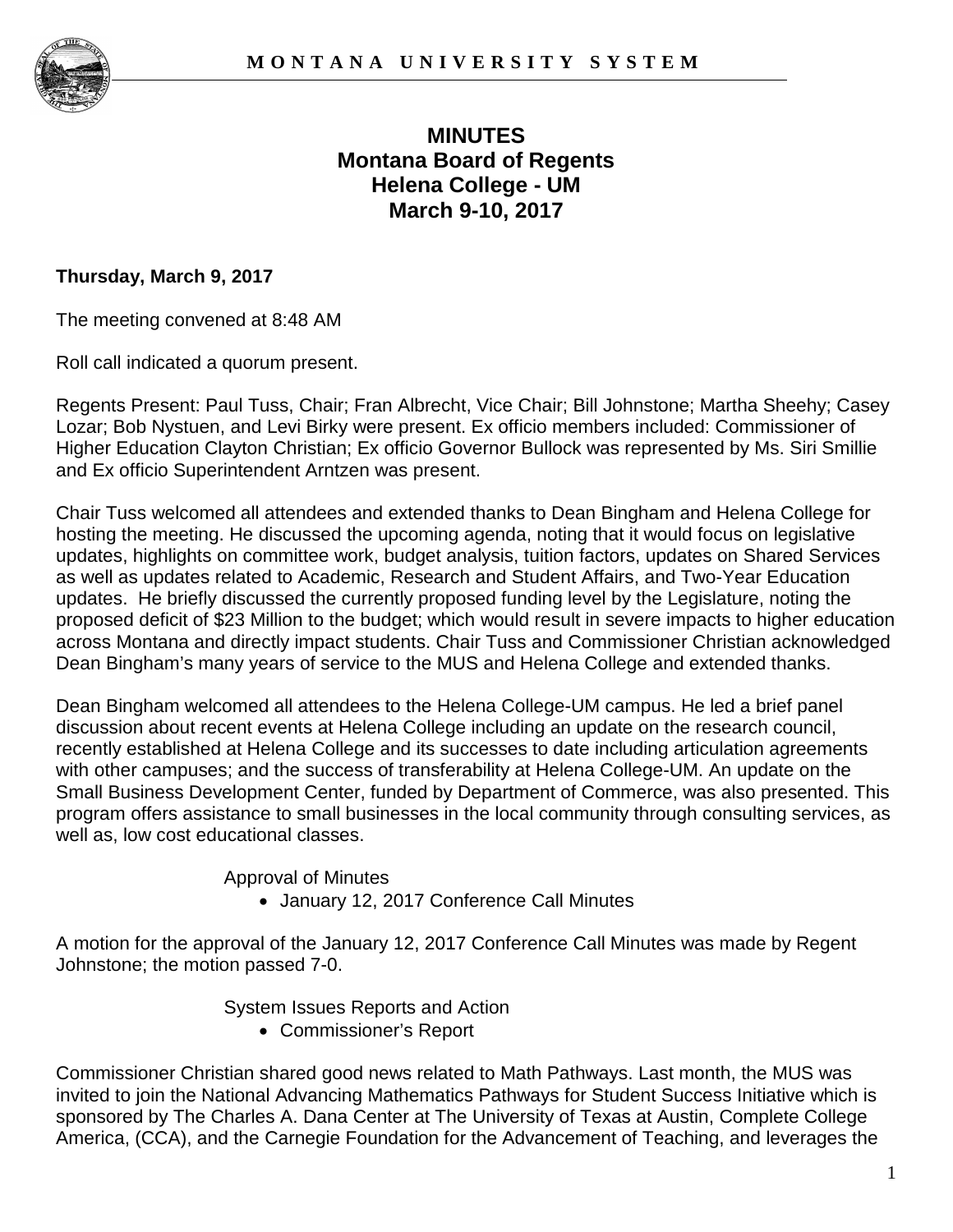



# **MINUTES Montana Board of Regents Helena College - UM March 9-10, 2017**

#### **Thursday, March 9, 2017**

The meeting convened at 8:48 AM

Roll call indicated a quorum present.

Regents Present: Paul Tuss, Chair; Fran Albrecht, Vice Chair; Bill Johnstone; Martha Sheehy; Casey Lozar; Bob Nystuen, and Levi Birky were present. Ex officio members included: Commissioner of Higher Education Clayton Christian; Ex officio Governor Bullock was represented by Ms. Siri Smillie and Ex officio Superintendent Arntzen was present.

Chair Tuss welcomed all attendees and extended thanks to Dean Bingham and Helena College for hosting the meeting. He discussed the upcoming agenda, noting that it would focus on legislative updates, highlights on committee work, budget analysis, tuition factors, updates on Shared Services as well as updates related to Academic, Research and Student Affairs, and Two-Year Education updates. He briefly discussed the currently proposed funding level by the Legislature, noting the proposed deficit of \$23 Million to the budget; which would result in severe impacts to higher education across Montana and directly impact students. Chair Tuss and Commissioner Christian acknowledged Dean Bingham's many years of service to the MUS and Helena College and extended thanks.

Dean Bingham welcomed all attendees to the Helena College-UM campus. He led a brief panel discussion about recent events at Helena College including an update on the research council, recently established at Helena College and its successes to date including articulation agreements with other campuses; and the success of transferability at Helena College-UM. An update on the Small Business Development Center, funded by Department of Commerce, was also presented. This program offers assistance to small businesses in the local community through consulting services, as well as, low cost educational classes.

Approval of Minutes

• January 12, 2017 Conference Call Minutes

A motion for the approval of the January 12, 2017 Conference Call Minutes was made by Regent Johnstone; the motion passed 7-0.

System Issues Reports and Action

• Commissioner's Report

Commissioner Christian shared good news related to Math Pathways. Last month, the MUS was invited to join the National Advancing Mathematics Pathways for Student Success Initiative which is sponsored by The Charles A. Dana Center at The University of Texas at Austin, Complete College America, (CCA), and the Carnegie Foundation for the Advancement of Teaching, and leverages the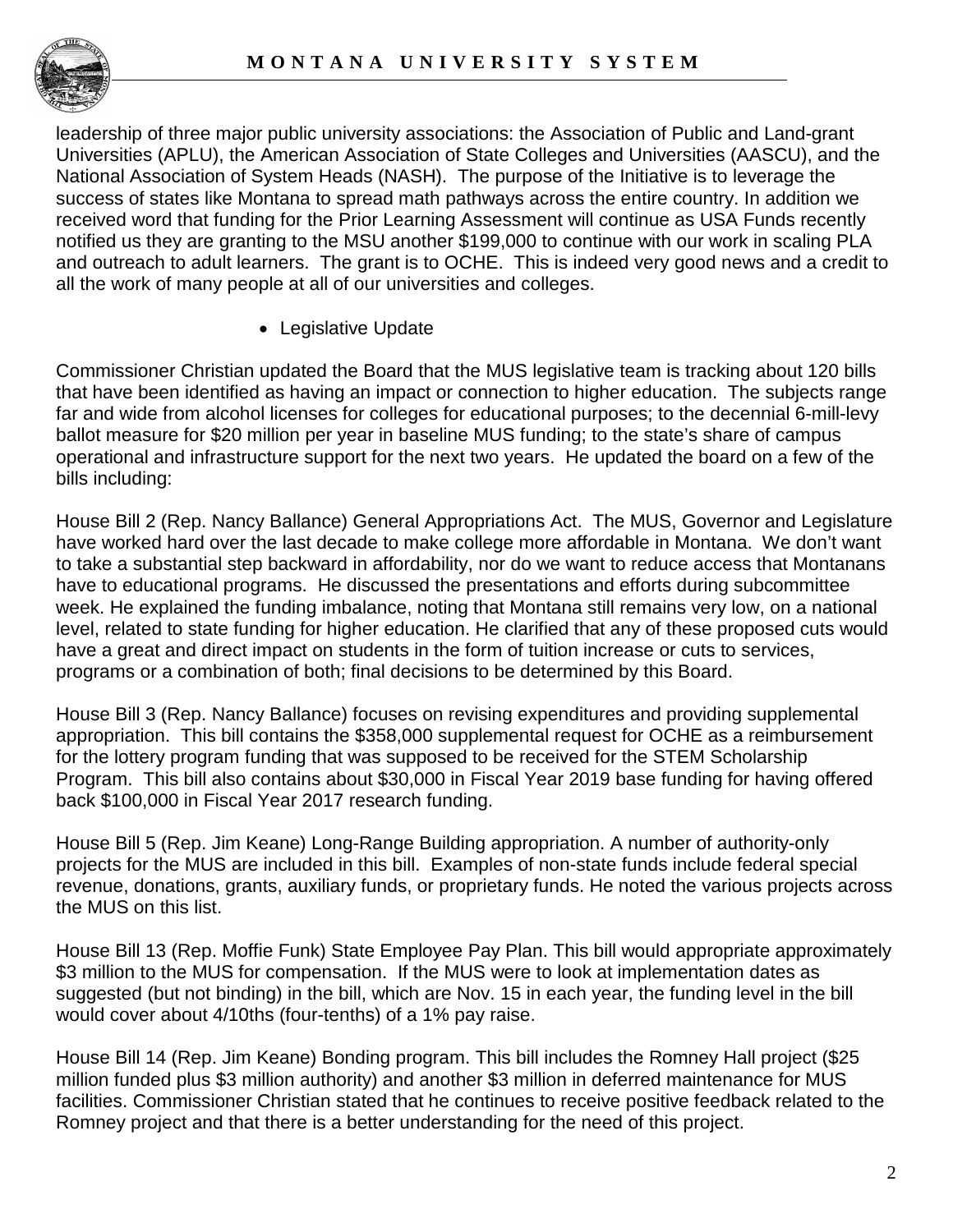

leadership of three major public university associations: the Association of Public and Land-grant Universities (APLU), the American Association of State Colleges and Universities (AASCU), and the National Association of System Heads (NASH). The purpose of the Initiative is to leverage the success of states like Montana to spread math pathways across the entire country. In addition we received word that funding for the Prior Learning Assessment will continue as USA Funds recently notified us they are granting to the MSU another \$199,000 to continue with our work in scaling PLA and outreach to adult learners. The grant is to OCHE. This is indeed very good news and a credit to all the work of many people at all of our universities and colleges.

• Legislative Update

Commissioner Christian updated the Board that the MUS legislative team is tracking about 120 bills that have been identified as having an impact or connection to higher education. The subjects range far and wide from alcohol licenses for colleges for educational purposes; to the decennial 6-mill-levy ballot measure for \$20 million per year in baseline MUS funding; to the state's share of campus operational and infrastructure support for the next two years. He updated the board on a few of the bills including:

House Bill 2 (Rep. Nancy Ballance) General Appropriations Act. The MUS, Governor and Legislature have worked hard over the last decade to make college more affordable in Montana. We don't want to take a substantial step backward in affordability, nor do we want to reduce access that Montanans have to educational programs. He discussed the presentations and efforts during subcommittee week. He explained the funding imbalance, noting that Montana still remains very low, on a national level, related to state funding for higher education. He clarified that any of these proposed cuts would have a great and direct impact on students in the form of tuition increase or cuts to services, programs or a combination of both; final decisions to be determined by this Board.

House Bill 3 (Rep. Nancy Ballance) focuses on revising expenditures and providing supplemental appropriation. This bill contains the \$358,000 supplemental request for OCHE as a reimbursement for the lottery program funding that was supposed to be received for the STEM Scholarship Program. This bill also contains about \$30,000 in Fiscal Year 2019 base funding for having offered back \$100,000 in Fiscal Year 2017 research funding.

House Bill 5 (Rep. Jim Keane) Long-Range Building appropriation. A number of authority-only projects for the MUS are included in this bill. Examples of non-state funds include federal special revenue, donations, grants, auxiliary funds, or proprietary funds. He noted the various projects across the MUS on this list.

House Bill 13 (Rep. Moffie Funk) State Employee Pay Plan. This bill would appropriate approximately \$3 million to the MUS for compensation. If the MUS were to look at implementation dates as suggested (but not binding) in the bill, which are Nov. 15 in each year, the funding level in the bill would cover about 4/10ths (four-tenths) of a 1% pay raise.

House Bill 14 (Rep. Jim Keane) Bonding program. This bill includes the Romney Hall project (\$25 million funded plus \$3 million authority) and another \$3 million in deferred maintenance for MUS facilities. Commissioner Christian stated that he continues to receive positive feedback related to the Romney project and that there is a better understanding for the need of this project.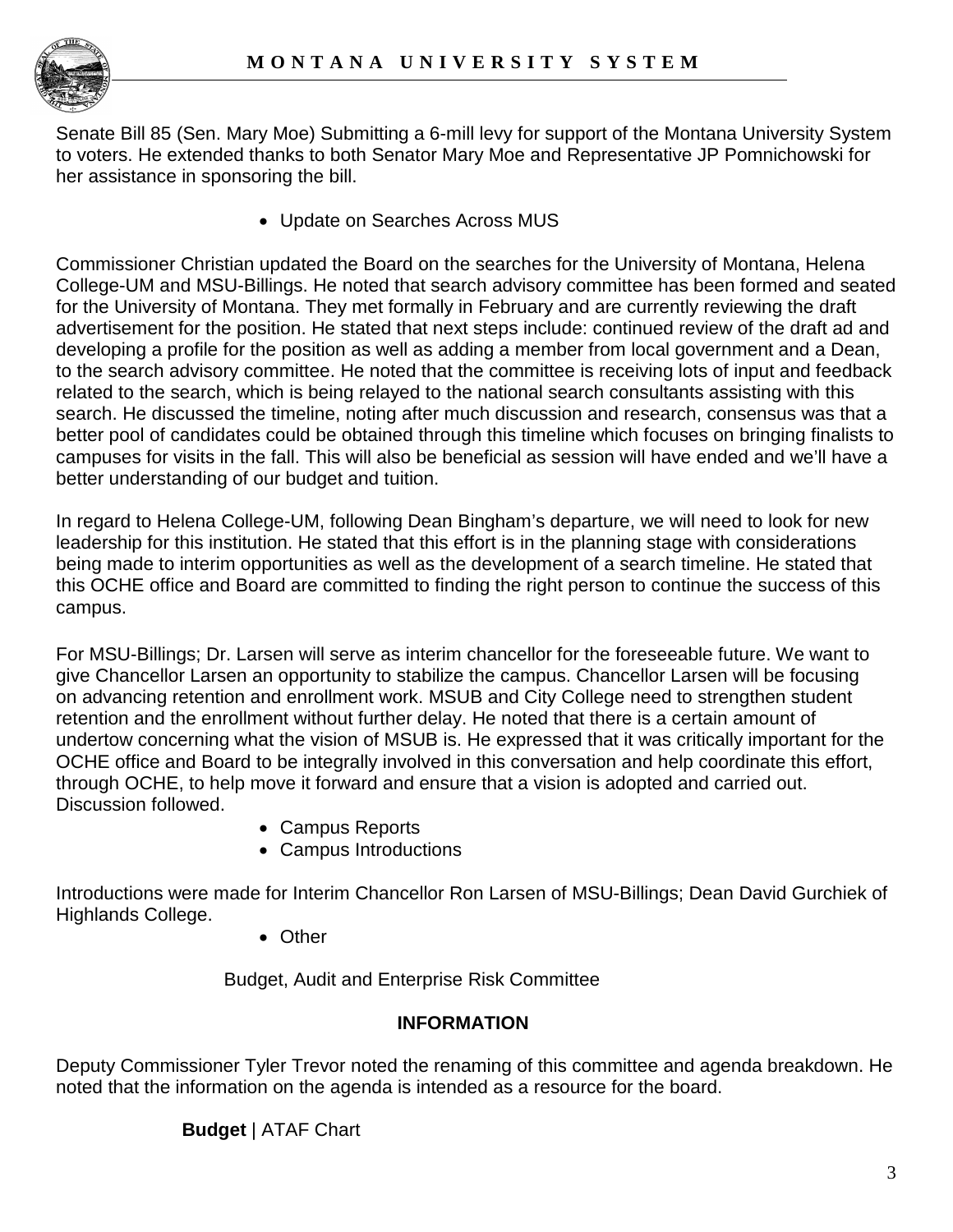

Senate Bill 85 (Sen. Mary Moe) Submitting a 6-mill levy for support of the Montana University System to voters. He extended thanks to both Senator Mary Moe and Representative JP Pomnichowski for her assistance in sponsoring the bill.

• Update on Searches Across MUS

Commissioner Christian updated the Board on the searches for the University of Montana, Helena College-UM and MSU-Billings. He noted that search advisory committee has been formed and seated for the University of Montana. They met formally in February and are currently reviewing the draft advertisement for the position. He stated that next steps include: continued review of the draft ad and developing a profile for the position as well as adding a member from local government and a Dean, to the search advisory committee. He noted that the committee is receiving lots of input and feedback related to the search, which is being relayed to the national search consultants assisting with this search. He discussed the timeline, noting after much discussion and research, consensus was that a better pool of candidates could be obtained through this timeline which focuses on bringing finalists to campuses for visits in the fall. This will also be beneficial as session will have ended and we'll have a better understanding of our budget and tuition.

In regard to Helena College-UM, following Dean Bingham's departure, we will need to look for new leadership for this institution. He stated that this effort is in the planning stage with considerations being made to interim opportunities as well as the development of a search timeline. He stated that this OCHE office and Board are committed to finding the right person to continue the success of this campus.

For MSU-Billings; Dr. Larsen will serve as interim chancellor for the foreseeable future. We want to give Chancellor Larsen an opportunity to stabilize the campus. Chancellor Larsen will be focusing on advancing retention and enrollment work. MSUB and City College need to strengthen student retention and the enrollment without further delay. He noted that there is a certain amount of undertow concerning what the vision of MSUB is. He expressed that it was critically important for the OCHE office and Board to be integrally involved in this conversation and help coordinate this effort, through OCHE, to help move it forward and ensure that a vision is adopted and carried out. Discussion followed.

- Campus Reports
- Campus Introductions

Introductions were made for Interim Chancellor Ron Larsen of MSU-Billings; Dean David Gurchiek of Highlands College.

• Other

Budget, Audit and Enterprise Risk Committee

# **INFORMATION**

Deputy Commissioner Tyler Trevor noted the renaming of this committee and agenda breakdown. He noted that the information on the agenda is intended as a resource for the board.

# **Budget** | ATAF Chart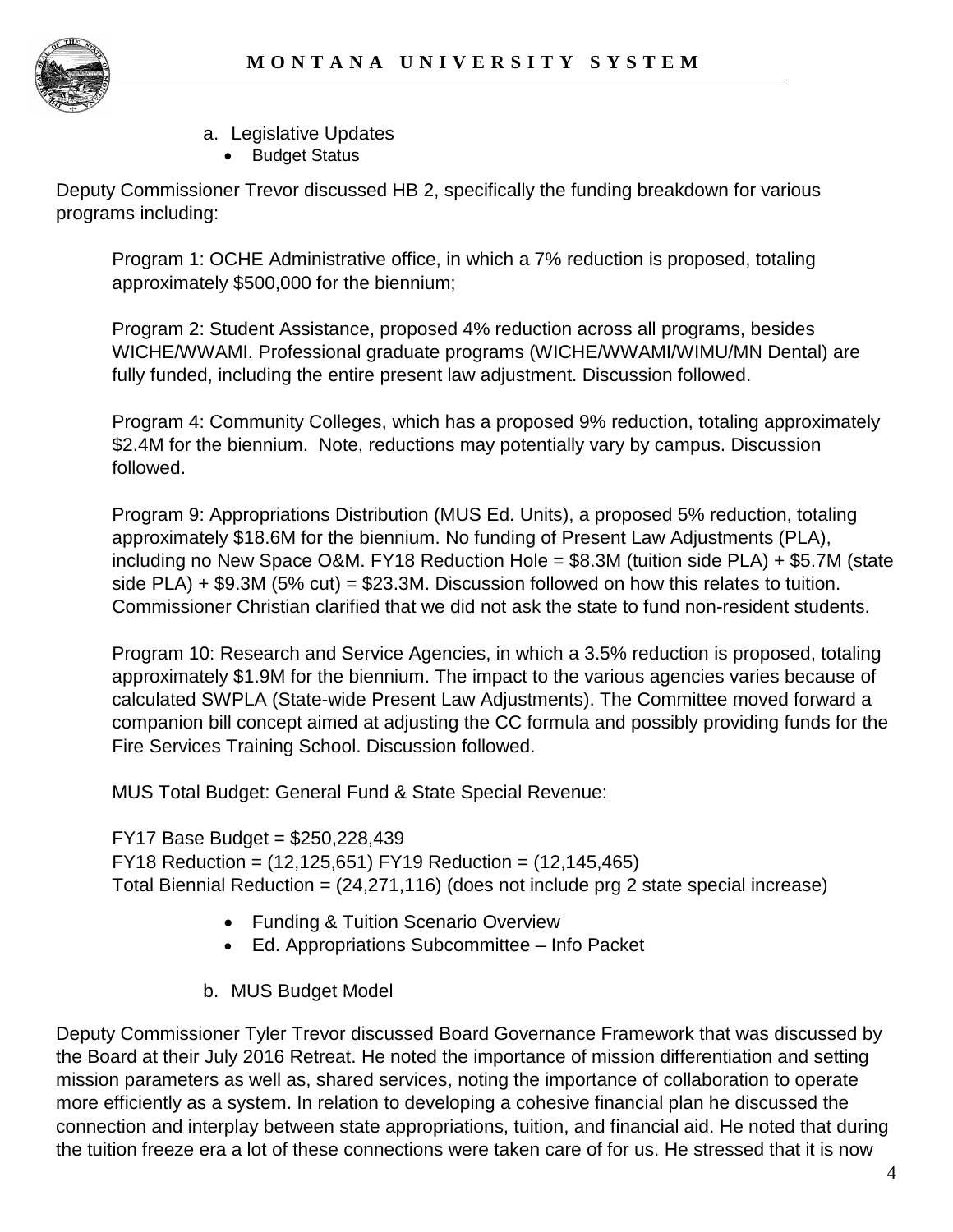

- a. Legislative Updates
	- Budget Status

Deputy Commissioner Trevor discussed HB 2, specifically the funding breakdown for various programs including:

Program 1: OCHE Administrative office, in which a 7% reduction is proposed, totaling approximately \$500,000 for the biennium;

Program 2: Student Assistance, proposed 4% reduction across all programs, besides WICHE/WWAMI. Professional graduate programs (WICHE/WWAMI/WIMU/MN Dental) are fully funded, including the entire present law adjustment. Discussion followed.

Program 4: Community Colleges, which has a proposed 9% reduction, totaling approximately \$2.4M for the biennium. Note, reductions may potentially vary by campus. Discussion followed.

Program 9: Appropriations Distribution (MUS Ed. Units), a proposed 5% reduction, totaling approximately \$18.6M for the biennium. No funding of Present Law Adjustments (PLA), including no New Space O&M. FY18 Reduction Hole = \$8.3M (tuition side PLA) + \$5.7M (state side PLA)  $+$  \$9.3M (5% cut) = \$23.3M. Discussion followed on how this relates to tuition. Commissioner Christian clarified that we did not ask the state to fund non-resident students.

Program 10: Research and Service Agencies, in which a 3.5% reduction is proposed, totaling approximately \$1.9M for the biennium. The impact to the various agencies varies because of calculated SWPLA (State-wide Present Law Adjustments). The Committee moved forward a companion bill concept aimed at adjusting the CC formula and possibly providing funds for the Fire Services Training School. Discussion followed.

MUS Total Budget: General Fund & State Special Revenue:

FY17 Base Budget = \$250,228,439 FY18 Reduction = (12,125,651) FY19 Reduction = (12,145,465) Total Biennial Reduction = (24,271,116) (does not include prg 2 state special increase)

- Funding & Tuition Scenario Overview
- Ed. Appropriations Subcommittee Info Packet
- b. MUS Budget Model

Deputy Commissioner Tyler Trevor discussed Board Governance Framework that was discussed by the Board at their July 2016 Retreat. He noted the importance of mission differentiation and setting mission parameters as well as, shared services, noting the importance of collaboration to operate more efficiently as a system. In relation to developing a cohesive financial plan he discussed the connection and interplay between state appropriations, tuition, and financial aid. He noted that during the tuition freeze era a lot of these connections were taken care of for us. He stressed that it is now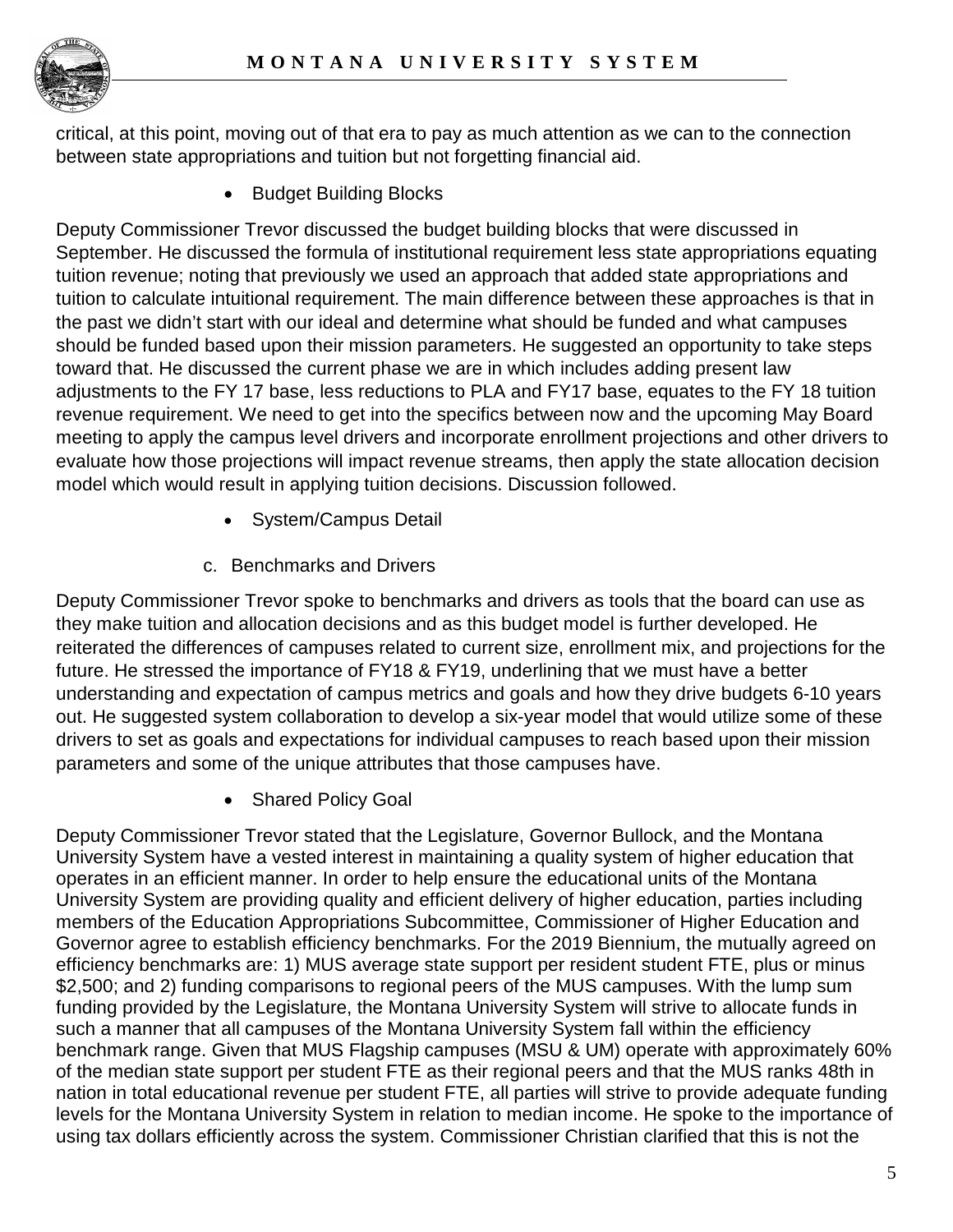

critical, at this point, moving out of that era to pay as much attention as we can to the connection between state appropriations and tuition but not forgetting financial aid.

• Budget Building Blocks

Deputy Commissioner Trevor discussed the budget building blocks that were discussed in September. He discussed the formula of institutional requirement less state appropriations equating tuition revenue; noting that previously we used an approach that added state appropriations and tuition to calculate intuitional requirement. The main difference between these approaches is that in the past we didn't start with our ideal and determine what should be funded and what campuses should be funded based upon their mission parameters. He suggested an opportunity to take steps toward that. He discussed the current phase we are in which includes adding present law adjustments to the FY 17 base, less reductions to PLA and FY17 base, equates to the FY 18 tuition revenue requirement. We need to get into the specifics between now and the upcoming May Board meeting to apply the campus level drivers and incorporate enrollment projections and other drivers to evaluate how those projections will impact revenue streams, then apply the state allocation decision model which would result in applying tuition decisions. Discussion followed.

- System/Campus Detail
- c. Benchmarks and Drivers

Deputy Commissioner Trevor spoke to benchmarks and drivers as tools that the board can use as they make tuition and allocation decisions and as this budget model is further developed. He reiterated the differences of campuses related to current size, enrollment mix, and projections for the future. He stressed the importance of FY18 & FY19, underlining that we must have a better understanding and expectation of campus metrics and goals and how they drive budgets 6-10 years out. He suggested system collaboration to develop a six-year model that would utilize some of these drivers to set as goals and expectations for individual campuses to reach based upon their mission parameters and some of the unique attributes that those campuses have.

• Shared Policy Goal

Deputy Commissioner Trevor stated that the Legislature, Governor Bullock, and the Montana University System have a vested interest in maintaining a quality system of higher education that operates in an efficient manner. In order to help ensure the educational units of the Montana University System are providing quality and efficient delivery of higher education, parties including members of the Education Appropriations Subcommittee, Commissioner of Higher Education and Governor agree to establish efficiency benchmarks. For the 2019 Biennium, the mutually agreed on efficiency benchmarks are: 1) MUS average state support per resident student FTE, plus or minus \$2,500; and 2) funding comparisons to regional peers of the MUS campuses. With the lump sum funding provided by the Legislature, the Montana University System will strive to allocate funds in such a manner that all campuses of the Montana University System fall within the efficiency benchmark range. Given that MUS Flagship campuses (MSU & UM) operate with approximately 60% of the median state support per student FTE as their regional peers and that the MUS ranks 48th in nation in total educational revenue per student FTE, all parties will strive to provide adequate funding levels for the Montana University System in relation to median income. He spoke to the importance of using tax dollars efficiently across the system. Commissioner Christian clarified that this is not the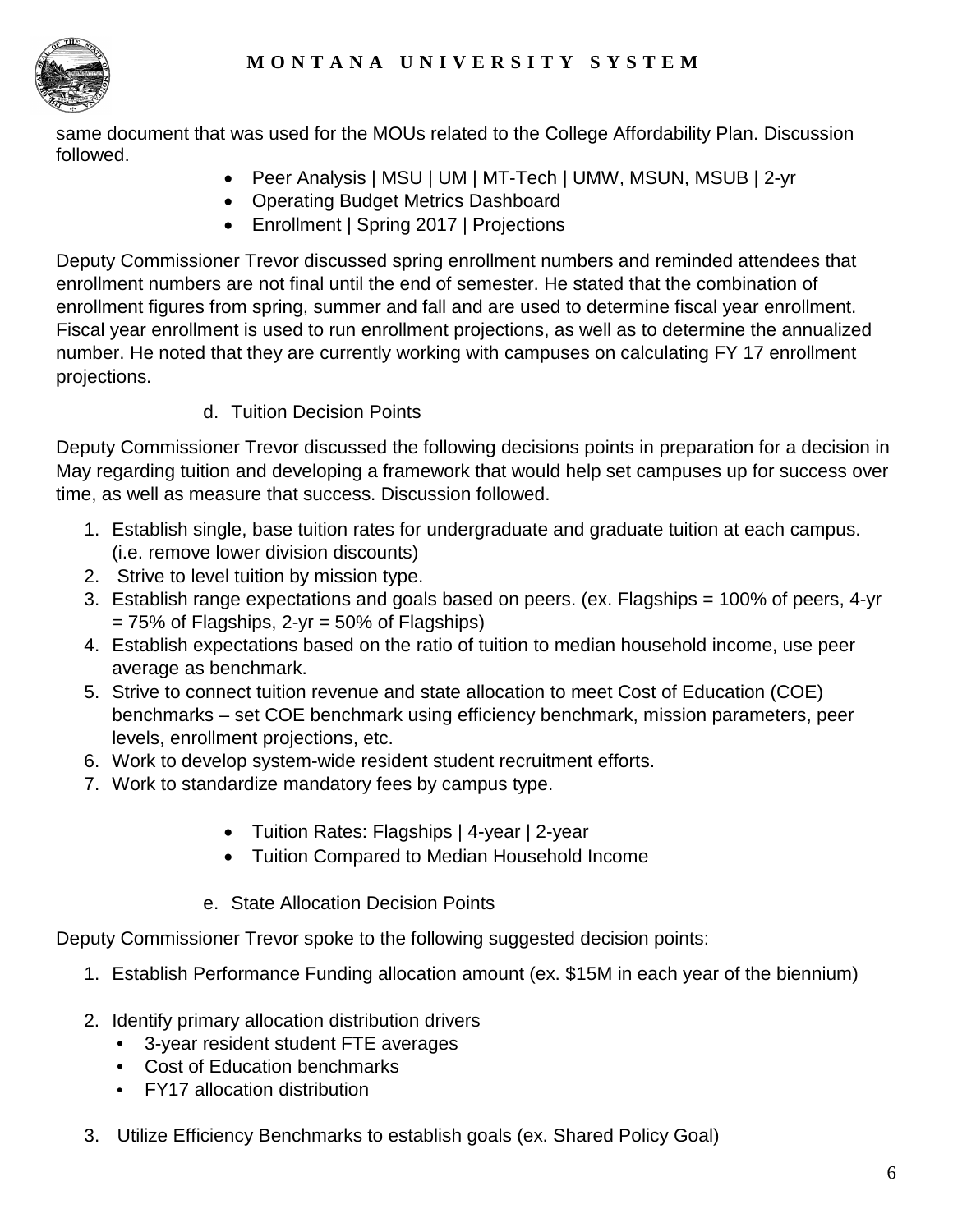

same document that was used for the MOUs related to the College Affordability Plan. Discussion followed.

- Peer Analysis | MSU | UM | MT-Tech | UMW, MSUN, MSUB | 2-yr
- Operating Budget Metrics Dashboard
- Enrollment | Spring 2017 | Projections

Deputy Commissioner Trevor discussed spring enrollment numbers and reminded attendees that enrollment numbers are not final until the end of semester. He stated that the combination of enrollment figures from spring, summer and fall and are used to determine fiscal year enrollment. Fiscal year enrollment is used to run enrollment projections, as well as to determine the annualized number. He noted that they are currently working with campuses on calculating FY 17 enrollment projections.

d. Tuition Decision Points

Deputy Commissioner Trevor discussed the following decisions points in preparation for a decision in May regarding tuition and developing a framework that would help set campuses up for success over time, as well as measure that success. Discussion followed.

- 1. Establish single, base tuition rates for undergraduate and graduate tuition at each campus. (i.e. remove lower division discounts)
- 2. Strive to level tuition by mission type.
- 3. Establish range expectations and goals based on peers. (ex. Flagships = 100% of peers, 4-yr  $= 75\%$  of Flagships, 2-yr  $= 50\%$  of Flagships)
- 4. Establish expectations based on the ratio of tuition to median household income, use peer average as benchmark.
- 5. Strive to connect tuition revenue and state allocation to meet Cost of Education (COE) benchmarks – set COE benchmark using efficiency benchmark, mission parameters, peer levels, enrollment projections, etc.
- 6. Work to develop system-wide resident student recruitment efforts.
- 7. Work to standardize mandatory fees by campus type.
	- Tuition Rates: Flagships | 4-year | 2-year
	- Tuition Compared to Median Household Income
	- e. State Allocation Decision Points

Deputy Commissioner Trevor spoke to the following suggested decision points:

- 1. Establish Performance Funding allocation amount (ex. \$15M in each year of the biennium)
- 2. Identify primary allocation distribution drivers
	- 3-year resident student FTE averages
	- Cost of Education benchmarks
	- FY17 allocation distribution
- 3. Utilize Efficiency Benchmarks to establish goals (ex. Shared Policy Goal)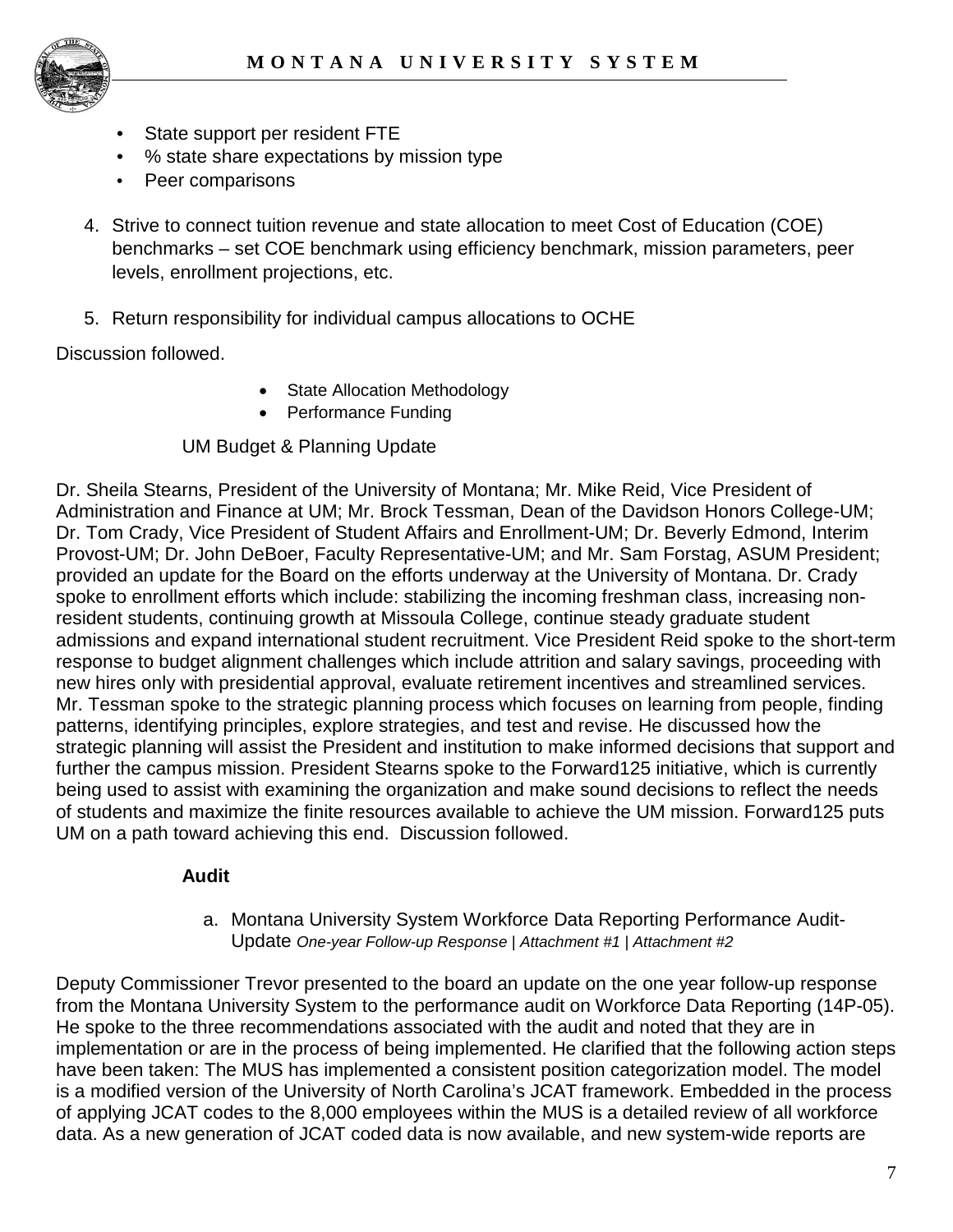

- State support per resident FTE
- % state share expectations by mission type
- Peer comparisons
- 4. Strive to connect tuition revenue and state allocation to meet Cost of Education (COE) benchmarks – set COE benchmark using efficiency benchmark, mission parameters, peer levels, enrollment projections, etc.
- 5. Return responsibility for individual campus allocations to OCHE

Discussion followed.

- State Allocation Methodology
- Performance Funding

#### UM Budget & Planning Update

Dr. Sheila Stearns, President of the University of Montana; Mr. Mike Reid, Vice President of Administration and Finance at UM; Mr. Brock Tessman, Dean of the Davidson Honors College-UM; Dr. Tom Crady, Vice President of Student Affairs and Enrollment-UM; Dr. Beverly Edmond, Interim Provost-UM; Dr. John DeBoer, Faculty Representative-UM; and Mr. Sam Forstag, ASUM President; provided an update for the Board on the efforts underway at the University of Montana. Dr. Crady spoke to enrollment efforts which include: stabilizing the incoming freshman class, increasing nonresident students, continuing growth at Missoula College, continue steady graduate student admissions and expand international student recruitment. Vice President Reid spoke to the short-term response to budget alignment challenges which include attrition and salary savings, proceeding with new hires only with presidential approval, evaluate retirement incentives and streamlined services. Mr. Tessman spoke to the strategic planning process which focuses on learning from people, finding patterns, identifying principles, explore strategies, and test and revise. He discussed how the strategic planning will assist the President and institution to make informed decisions that support and further the campus mission. President Stearns spoke to the Forward125 initiative, which is currently being used to assist with examining the organization and make sound decisions to reflect the needs of students and maximize the finite resources available to achieve the UM mission. Forward125 puts UM on a path toward achieving this end. Discussion followed.

#### **Audit**

#### a. Montana University System Workforce Data Reporting Performance Audit-Update *One-year Follow-up Response | Attachment #1 | Attachment #2*

Deputy Commissioner Trevor presented to the board an update on the one year follow-up response from the Montana University System to the performance audit on Workforce Data Reporting (14P-05). He spoke to the three recommendations associated with the audit and noted that they are in implementation or are in the process of being implemented. He clarified that the following action steps have been taken: The MUS has implemented a consistent position categorization model. The model is a modified version of the University of North Carolina's JCAT framework. Embedded in the process of applying JCAT codes to the 8,000 employees within the MUS is a detailed review of all workforce data. As a new generation of JCAT coded data is now available, and new system-wide reports are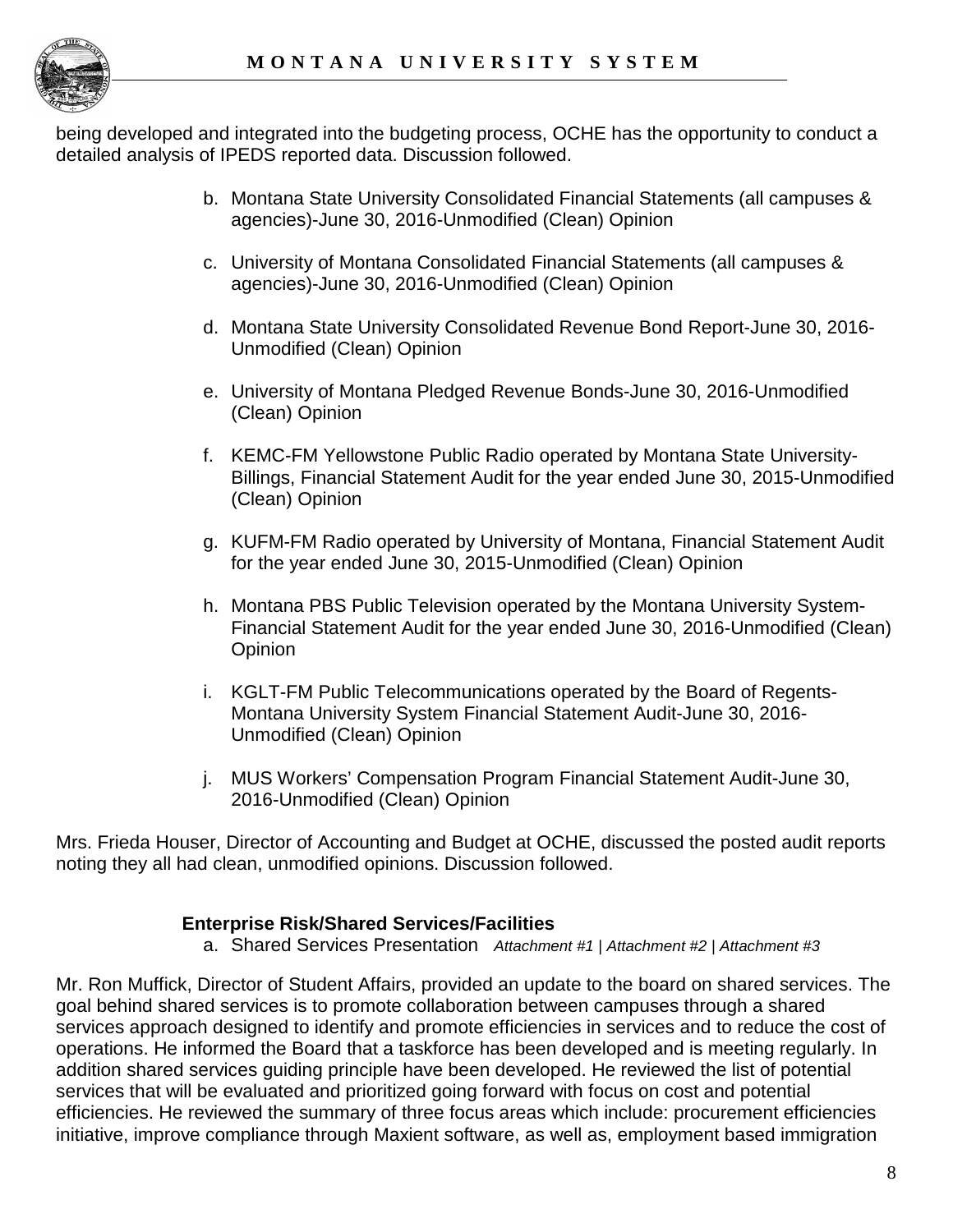

being developed and integrated into the budgeting process, OCHE has the opportunity to conduct a detailed analysis of IPEDS reported data. Discussion followed.

- b. Montana State University Consolidated Financial Statements (all campuses & agencies)-June 30, 2016-Unmodified (Clean) Opinion
- c. University of Montana Consolidated Financial Statements (all campuses & agencies)-June 30, 2016-Unmodified (Clean) Opinion
- d. Montana State University Consolidated Revenue Bond Report-June 30, 2016- Unmodified (Clean) Opinion
- e. University of Montana Pledged Revenue Bonds-June 30, 2016-Unmodified (Clean) Opinion
- f. KEMC-FM Yellowstone Public Radio operated by Montana State University-Billings, Financial Statement Audit for the year ended June 30, 2015-Unmodified (Clean) Opinion
- g. KUFM-FM Radio operated by University of Montana, Financial Statement Audit for the year ended June 30, 2015-Unmodified (Clean) Opinion
- h. Montana PBS Public Television operated by the Montana University System-Financial Statement Audit for the year ended June 30, 2016-Unmodified (Clean) **Opinion**
- i. KGLT-FM Public Telecommunications operated by the Board of Regents-Montana University System Financial Statement Audit-June 30, 2016- Unmodified (Clean) Opinion
- j. MUS Workers' Compensation Program Financial Statement Audit-June 30, 2016-Unmodified (Clean) Opinion

Mrs. Frieda Houser, Director of Accounting and Budget at OCHE, discussed the posted audit reports noting they all had clean, unmodified opinions. Discussion followed.

## **Enterprise Risk/Shared Services/Facilities**

a. Shared Services Presentation *Attachment #1 | Attachment #2 | Attachment #3*

Mr. Ron Muffick, Director of Student Affairs, provided an update to the board on shared services. The goal behind shared services is to promote collaboration between campuses through a shared services approach designed to identify and promote efficiencies in services and to reduce the cost of operations. He informed the Board that a taskforce has been developed and is meeting regularly. In addition shared services guiding principle have been developed. He reviewed the list of potential services that will be evaluated and prioritized going forward with focus on cost and potential efficiencies. He reviewed the summary of three focus areas which include: procurement efficiencies initiative, improve compliance through Maxient software, as well as, employment based immigration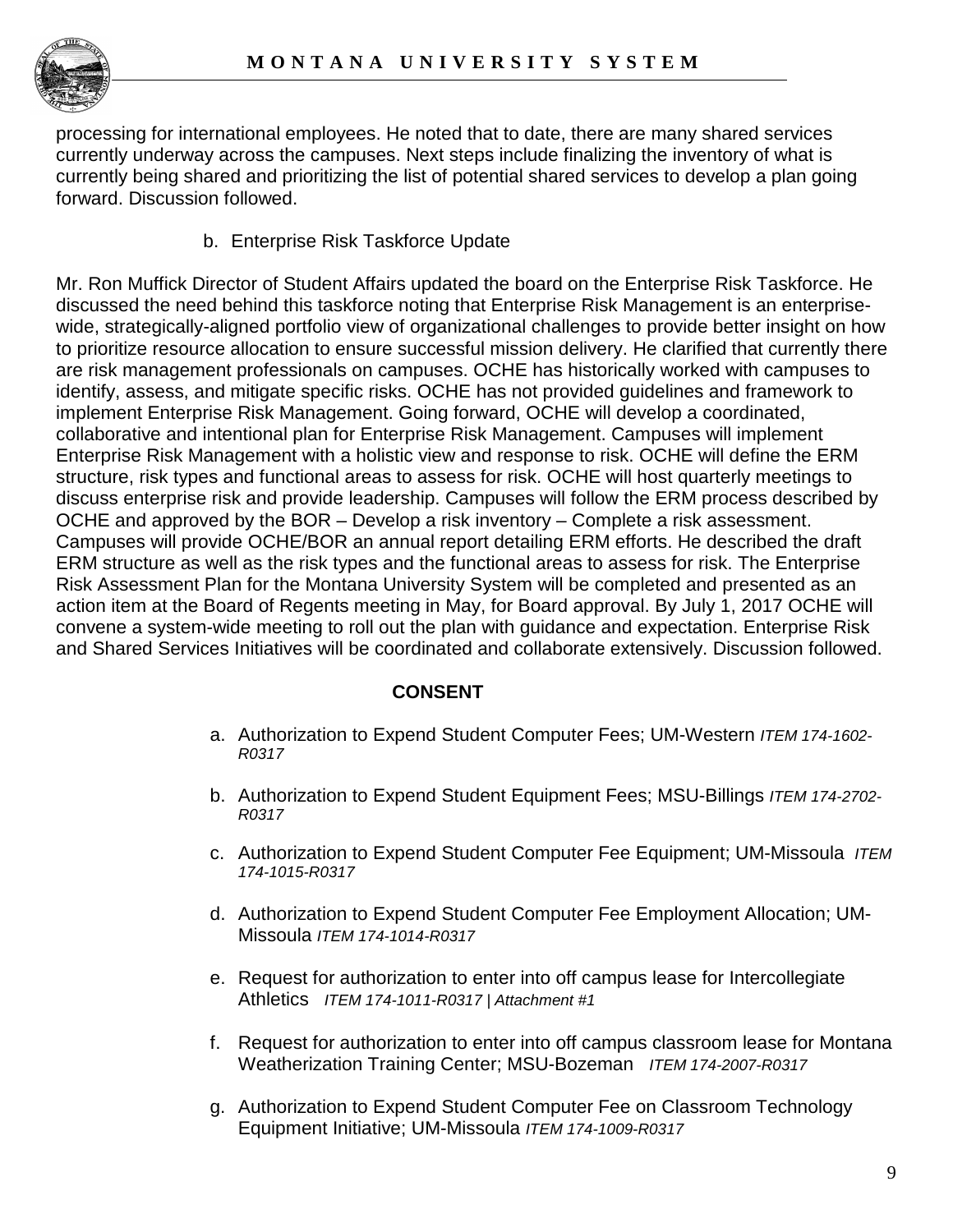

processing for international employees. He noted that to date, there are many shared services currently underway across the campuses. Next steps include finalizing the inventory of what is currently being shared and prioritizing the list of potential shared services to develop a plan going forward. Discussion followed.

b. Enterprise Risk Taskforce Update

Mr. Ron Muffick Director of Student Affairs updated the board on the Enterprise Risk Taskforce. He discussed the need behind this taskforce noting that Enterprise Risk Management is an enterprisewide, strategically-aligned portfolio view of organizational challenges to provide better insight on how to prioritize resource allocation to ensure successful mission delivery. He clarified that currently there are risk management professionals on campuses. OCHE has historically worked with campuses to identify, assess, and mitigate specific risks. OCHE has not provided guidelines and framework to implement Enterprise Risk Management. Going forward, OCHE will develop a coordinated, collaborative and intentional plan for Enterprise Risk Management. Campuses will implement Enterprise Risk Management with a holistic view and response to risk. OCHE will define the ERM structure, risk types and functional areas to assess for risk. OCHE will host quarterly meetings to discuss enterprise risk and provide leadership. Campuses will follow the ERM process described by OCHE and approved by the BOR – Develop a risk inventory – Complete a risk assessment. Campuses will provide OCHE/BOR an annual report detailing ERM efforts. He described the draft ERM structure as well as the risk types and the functional areas to assess for risk. The Enterprise Risk Assessment Plan for the Montana University System will be completed and presented as an action item at the Board of Regents meeting in May, for Board approval. By July 1, 2017 OCHE will convene a system-wide meeting to roll out the plan with guidance and expectation. Enterprise Risk and Shared Services Initiatives will be coordinated and collaborate extensively. Discussion followed.

## **CONSENT**

- a. Authorization to Expend Student Computer Fees; UM-Western *ITEM 174-1602- R0317*
- b. Authorization to Expend Student Equipment Fees; MSU-Billings *ITEM 174-2702- R0317*
- c. Authorization to Expend Student Computer Fee Equipment; UM-Missoula *ITEM 174-1015-R0317*
- d. Authorization to Expend Student Computer Fee Employment Allocation; UM-Missoula *ITEM 174-1014-R0317*
- e. Request for authorization to enter into off campus lease for Intercollegiate Athletics *ITEM 174-1011-R0317 | Attachment #1*
- f. Request for authorization to enter into off campus classroom lease for Montana Weatherization Training Center; MSU-Bozeman *ITEM 174-2007-R0317*
- g. Authorization to Expend Student Computer Fee on Classroom Technology Equipment Initiative; UM-Missoula *ITEM 174-1009-R0317*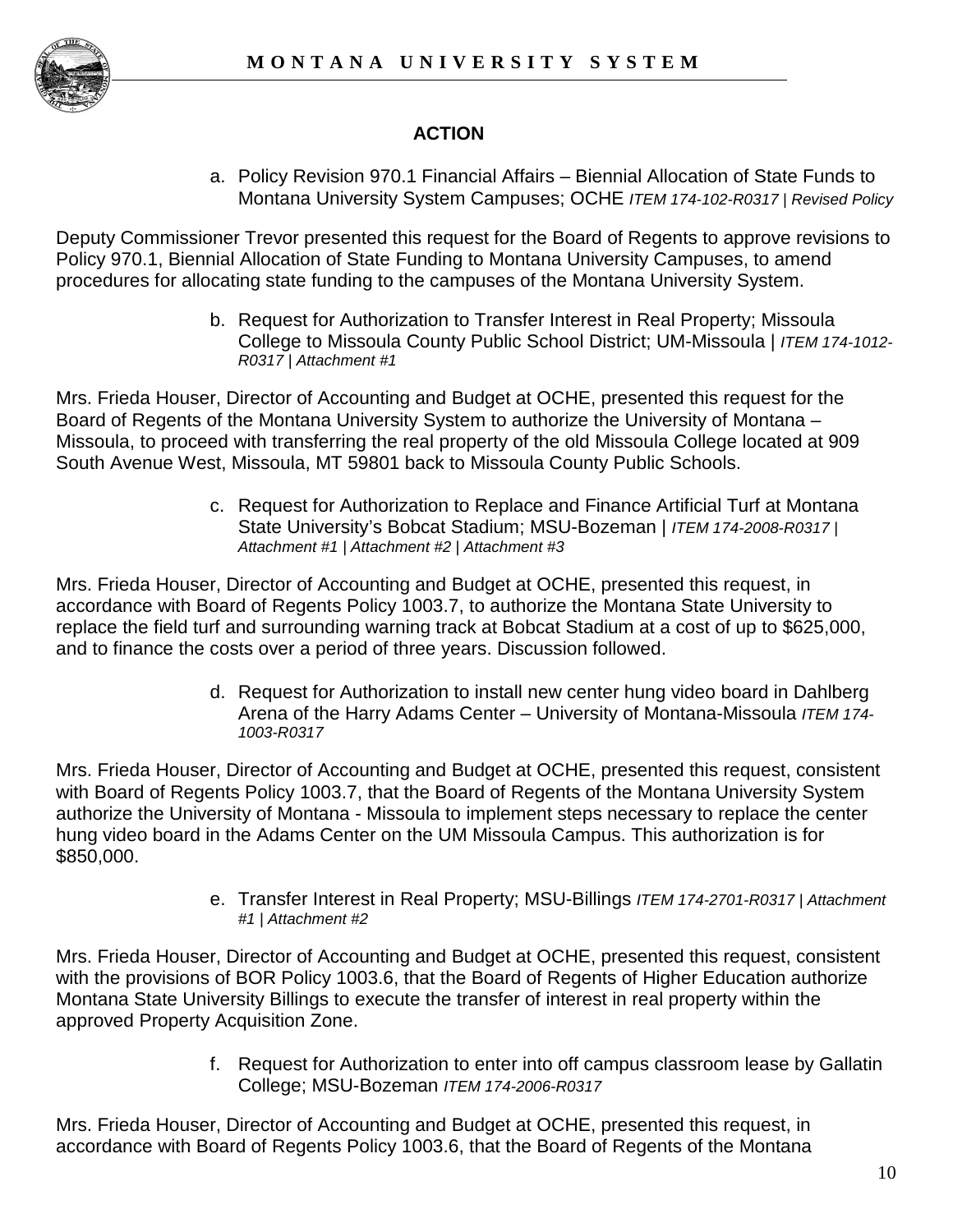

# **ACTION**

a. Policy Revision 970.1 Financial Affairs – Biennial Allocation of State Funds to Montana University System Campuses; OCHE *ITEM 174-102-R0317 | Revised Policy*

Deputy Commissioner Trevor presented this request for the Board of Regents to approve revisions to Policy 970.1, Biennial Allocation of State Funding to Montana University Campuses, to amend procedures for allocating state funding to the campuses of the Montana University System.

> b. Request for Authorization to Transfer Interest in Real Property; Missoula College to Missoula County Public School District; UM-Missoula | *ITEM 174-1012- R0317 | Attachment #1*

Mrs. Frieda Houser, Director of Accounting and Budget at OCHE, presented this request for the Board of Regents of the Montana University System to authorize the University of Montana – Missoula, to proceed with transferring the real property of the old Missoula College located at 909 South Avenue West, Missoula, MT 59801 back to Missoula County Public Schools.

> c. Request for Authorization to Replace and Finance Artificial Turf at Montana State University's Bobcat Stadium; MSU-Bozeman | *ITEM 174-2008-R0317 | Attachment #1 | Attachment #2 | Attachment #3*

Mrs. Frieda Houser, Director of Accounting and Budget at OCHE, presented this request, in accordance with Board of Regents Policy 1003.7, to authorize the Montana State University to replace the field turf and surrounding warning track at Bobcat Stadium at a cost of up to \$625,000, and to finance the costs over a period of three years. Discussion followed.

> d. Request for Authorization to install new center hung video board in Dahlberg Arena of the Harry Adams Center – University of Montana-Missoula *ITEM 174- 1003-R0317*

Mrs. Frieda Houser, Director of Accounting and Budget at OCHE, presented this request, consistent with Board of Regents Policy 1003.7, that the Board of Regents of the Montana University System authorize the University of Montana - Missoula to implement steps necessary to replace the center hung video board in the Adams Center on the UM Missoula Campus. This authorization is for \$850,000.

> e. Transfer Interest in Real Property; MSU-Billings *ITEM 174-2701-R0317 | Attachment #1 | Attachment #2*

Mrs. Frieda Houser, Director of Accounting and Budget at OCHE, presented this request, consistent with the provisions of BOR Policy 1003.6, that the Board of Regents of Higher Education authorize Montana State University Billings to execute the transfer of interest in real property within the approved Property Acquisition Zone.

> f. Request for Authorization to enter into off campus classroom lease by Gallatin College; MSU-Bozeman *ITEM 174-2006-R0317*

Mrs. Frieda Houser, Director of Accounting and Budget at OCHE, presented this request, in accordance with Board of Regents Policy 1003.6, that the Board of Regents of the Montana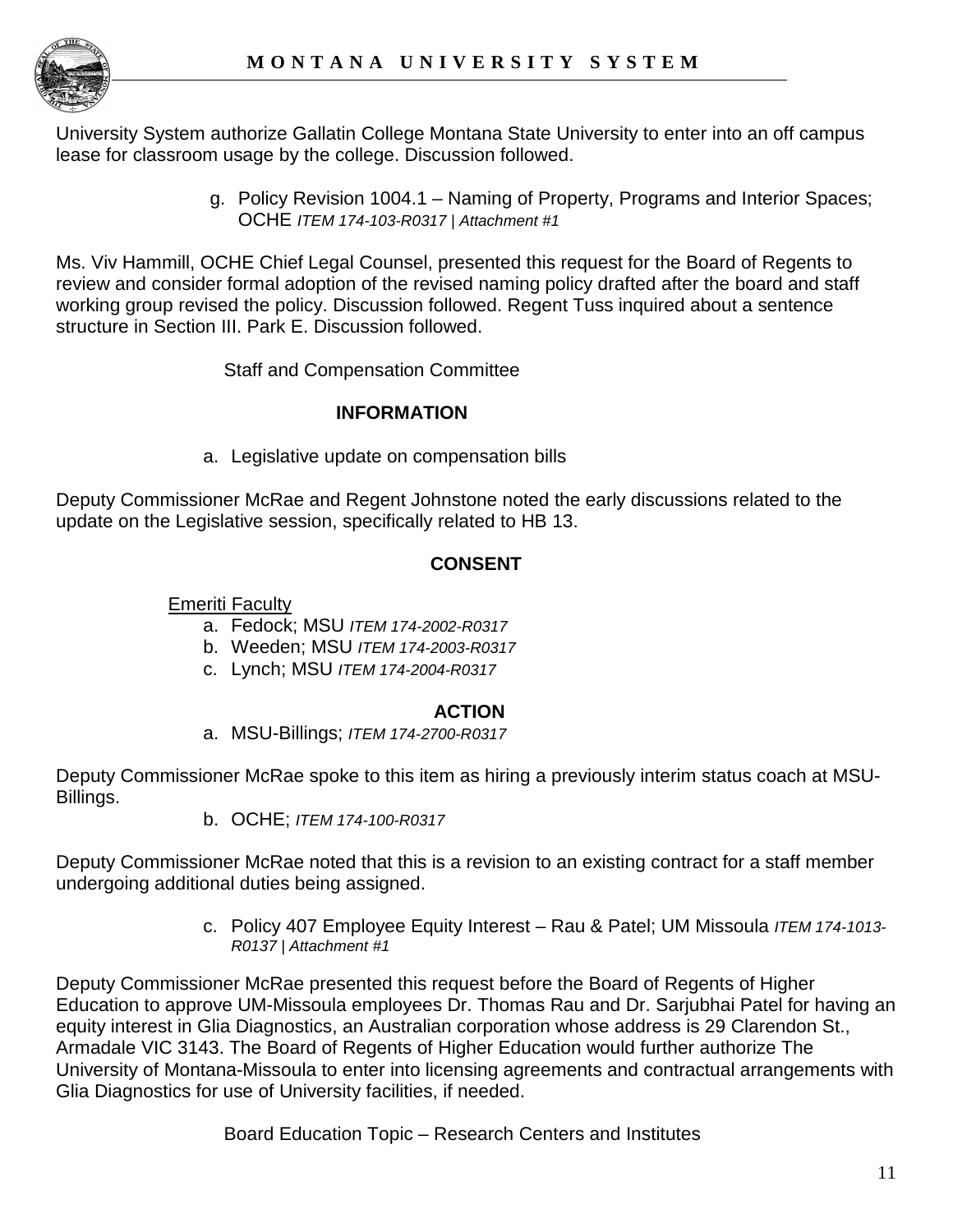

University System authorize Gallatin College Montana State University to enter into an off campus lease for classroom usage by the college. Discussion followed.

> g. Policy Revision 1004.1 – Naming of Property, Programs and Interior Spaces; OCHE *ITEM 174-103-R0317 | Attachment #1*

Ms. Viv Hammill, OCHE Chief Legal Counsel, presented this request for the Board of Regents to review and consider formal adoption of the revised naming policy drafted after the board and staff working group revised the policy. Discussion followed. Regent Tuss inquired about a sentence structure in Section III. Park E. Discussion followed.

Staff and Compensation Committee

## **INFORMATION**

a. Legislative update on compensation bills

Deputy Commissioner McRae and Regent Johnstone noted the early discussions related to the update on the Legislative session, specifically related to HB 13.

# **CONSENT**

Emeriti Faculty

- a. Fedock; MSU *ITEM 174-2002-R0317*
- b. Weeden; MSU *ITEM 174-2003-R0317*
- c. Lynch; MSU *ITEM 174-2004-R0317*

# **ACTION**

a. MSU-Billings; *ITEM 174-2700-R0317*

Deputy Commissioner McRae spoke to this item as hiring a previously interim status coach at MSU-Billings.

b. OCHE; *ITEM 174-100-R0317*

Deputy Commissioner McRae noted that this is a revision to an existing contract for a staff member undergoing additional duties being assigned.

> c. Policy 407 Employee Equity Interest – Rau & Patel; UM Missoula *ITEM 174-1013- R0137 | Attachment #1*

Deputy Commissioner McRae presented this request before the Board of Regents of Higher Education to approve UM-Missoula employees Dr. Thomas Rau and Dr. Sarjubhai Patel for having an equity interest in Glia Diagnostics, an Australian corporation whose address is 29 Clarendon St., Armadale VIC 3143. The Board of Regents of Higher Education would further authorize The University of Montana-Missoula to enter into licensing agreements and contractual arrangements with Glia Diagnostics for use of University facilities, if needed.

Board Education Topic – Research Centers and Institutes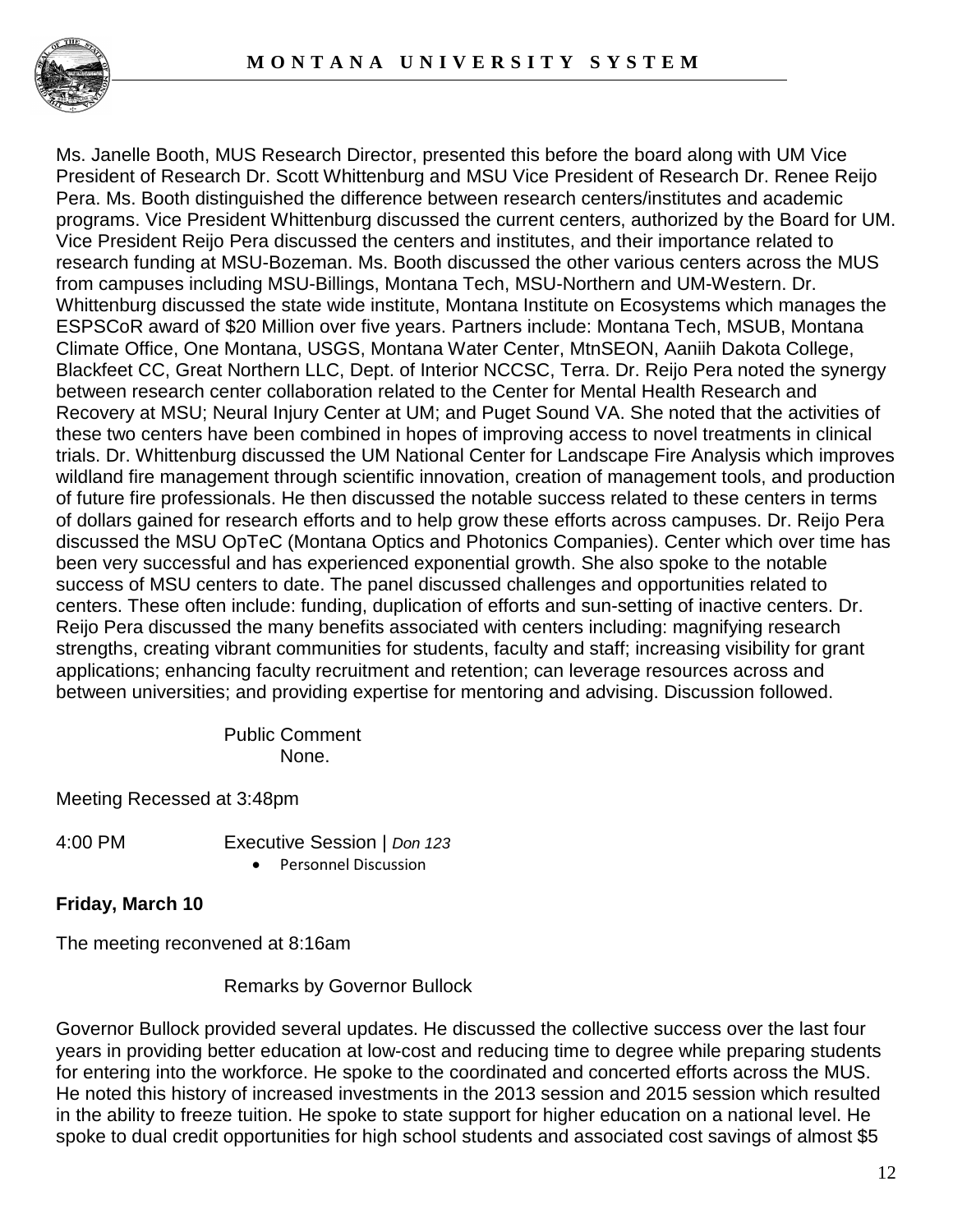

Ms. Janelle Booth, MUS Research Director, presented this before the board along with UM Vice President of Research Dr. Scott Whittenburg and MSU Vice President of Research Dr. Renee Reijo Pera. Ms. Booth distinguished the difference between research centers/institutes and academic programs. Vice President Whittenburg discussed the current centers, authorized by the Board for UM. Vice President Reijo Pera discussed the centers and institutes, and their importance related to research funding at MSU-Bozeman. Ms. Booth discussed the other various centers across the MUS from campuses including MSU-Billings, Montana Tech, MSU-Northern and UM-Western. Dr. Whittenburg discussed the state wide institute, Montana Institute on Ecosystems which manages the ESPSCoR award of \$20 Million over five years. Partners include: Montana Tech, MSUB, Montana Climate Office, One Montana, USGS, Montana Water Center, MtnSEON, Aaniih Dakota College, Blackfeet CC, Great Northern LLC, Dept. of Interior NCCSC, Terra. Dr. Reijo Pera noted the synergy between research center collaboration related to the Center for Mental Health Research and Recovery at MSU; Neural Injury Center at UM; and Puget Sound VA. She noted that the activities of these two centers have been combined in hopes of improving access to novel treatments in clinical trials. Dr. Whittenburg discussed the UM National Center for Landscape Fire Analysis which improves wildland fire management through scientific innovation, creation of management tools, and production of future fire professionals. He then discussed the notable success related to these centers in terms of dollars gained for research efforts and to help grow these efforts across campuses. Dr. Reijo Pera discussed the MSU OpTeC (Montana Optics and Photonics Companies). Center which over time has been very successful and has experienced exponential growth. She also spoke to the notable success of MSU centers to date. The panel discussed challenges and opportunities related to centers. These often include: funding, duplication of efforts and sun-setting of inactive centers. Dr. Reijo Pera discussed the many benefits associated with centers including: magnifying research strengths, creating vibrant communities for students, faculty and staff; increasing visibility for grant applications; enhancing faculty recruitment and retention; can leverage resources across and between universities; and providing expertise for mentoring and advising. Discussion followed.

> Public Comment None.

Meeting Recessed at 3:48pm

4:00 PM Executive Session | *Don 123*

• Personnel Discussion

**Friday, March 10** 

The meeting reconvened at 8:16am

Remarks by Governor Bullock

Governor Bullock provided several updates. He discussed the collective success over the last four years in providing better education at low-cost and reducing time to degree while preparing students for entering into the workforce. He spoke to the coordinated and concerted efforts across the MUS. He noted this history of increased investments in the 2013 session and 2015 session which resulted in the ability to freeze tuition. He spoke to state support for higher education on a national level. He spoke to dual credit opportunities for high school students and associated cost savings of almost \$5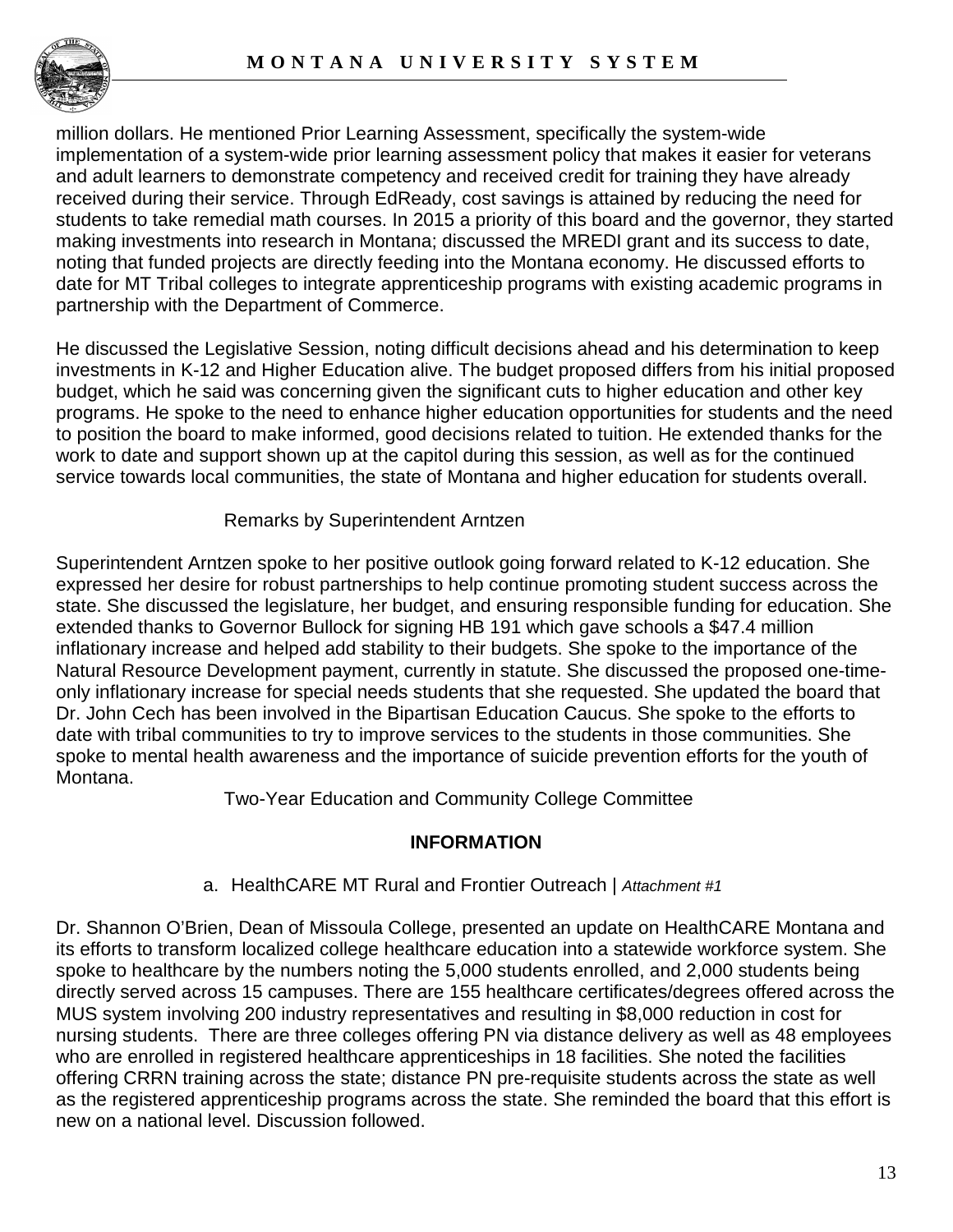

million dollars. He mentioned Prior Learning Assessment, specifically the system-wide implementation of a system-wide prior learning assessment policy that makes it easier for veterans and adult learners to demonstrate competency and received credit for training they have already received during their service. Through EdReady, cost savings is attained by reducing the need for students to take remedial math courses. In 2015 a priority of this board and the governor, they started making investments into research in Montana; discussed the MREDI grant and its success to date, noting that funded projects are directly feeding into the Montana economy. He discussed efforts to date for MT Tribal colleges to integrate apprenticeship programs with existing academic programs in partnership with the Department of Commerce.

He discussed the Legislative Session, noting difficult decisions ahead and his determination to keep investments in K-12 and Higher Education alive. The budget proposed differs from his initial proposed budget, which he said was concerning given the significant cuts to higher education and other key programs. He spoke to the need to enhance higher education opportunities for students and the need to position the board to make informed, good decisions related to tuition. He extended thanks for the work to date and support shown up at the capitol during this session, as well as for the continued service towards local communities, the state of Montana and higher education for students overall.

Remarks by Superintendent Arntzen

Superintendent Arntzen spoke to her positive outlook going forward related to K-12 education. She expressed her desire for robust partnerships to help continue promoting student success across the state. She discussed the legislature, her budget, and ensuring responsible funding for education. She extended thanks to Governor Bullock for signing HB 191 which gave schools a \$47.4 million inflationary increase and helped add stability to their budgets. She spoke to the importance of the Natural Resource Development payment, currently in statute. She discussed the proposed one-timeonly inflationary increase for special needs students that she requested. She updated the board that Dr. John Cech has been involved in the Bipartisan Education Caucus. She spoke to the efforts to date with tribal communities to try to improve services to the students in those communities. She spoke to mental health awareness and the importance of suicide prevention efforts for the youth of Montana.

Two-Year Education and Community College Committee

## **INFORMATION**

## a. HealthCARE MT Rural and Frontier Outreach | *Attachment #1*

Dr. Shannon O'Brien, Dean of Missoula College, presented an update on HealthCARE Montana and its efforts to transform localized college healthcare education into a statewide workforce system. She spoke to healthcare by the numbers noting the 5,000 students enrolled, and 2,000 students being directly served across 15 campuses. There are 155 healthcare certificates/degrees offered across the MUS system involving 200 industry representatives and resulting in \$8,000 reduction in cost for nursing students. There are three colleges offering PN via distance delivery as well as 48 employees who are enrolled in registered healthcare apprenticeships in 18 facilities. She noted the facilities offering CRRN training across the state; distance PN pre-requisite students across the state as well as the registered apprenticeship programs across the state. She reminded the board that this effort is new on a national level. Discussion followed.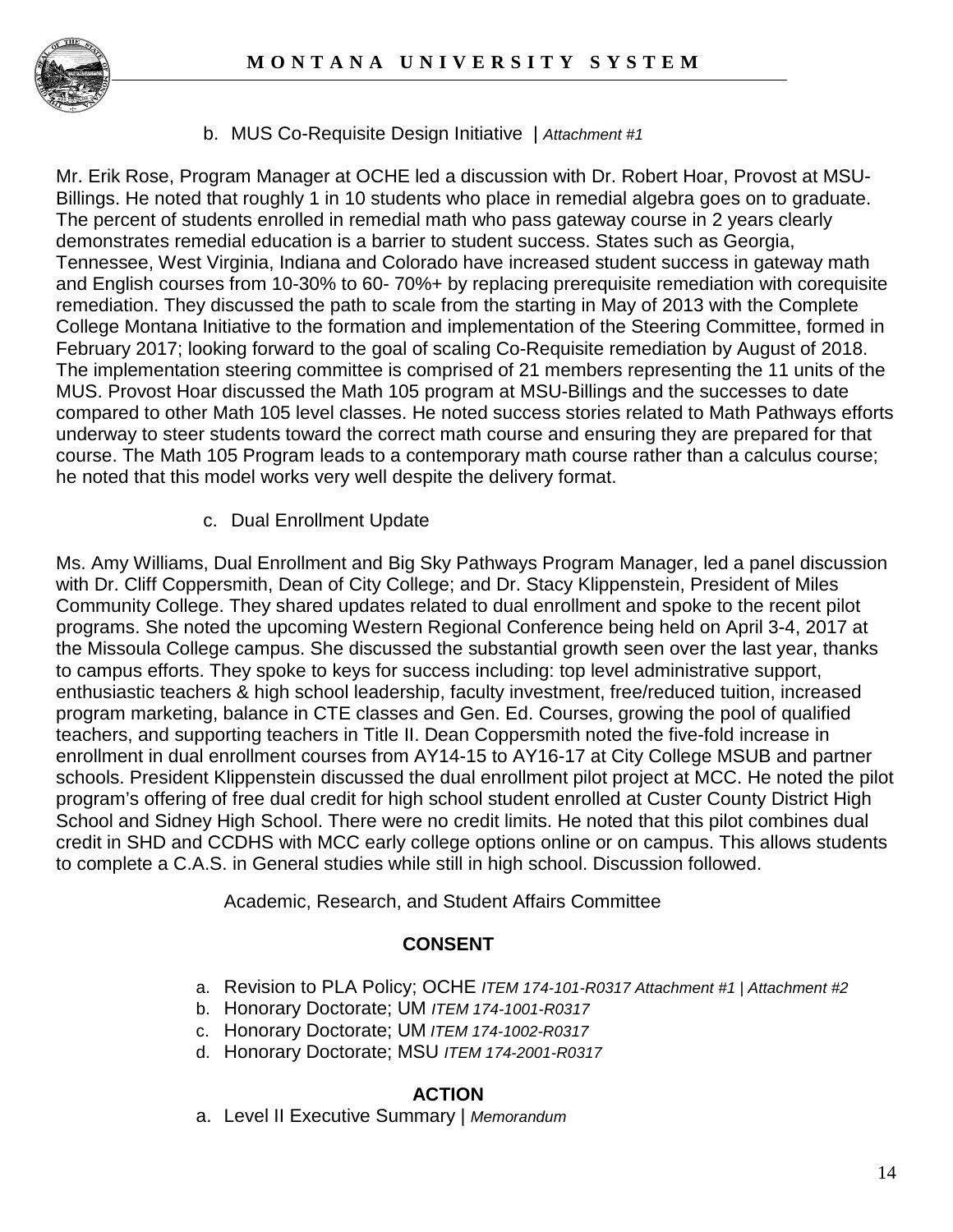

b. MUS Co-Requisite Design Initiative | *Attachment #1*

Mr. Erik Rose, Program Manager at OCHE led a discussion with Dr. Robert Hoar, Provost at MSU-Billings. He noted that roughly 1 in 10 students who place in remedial algebra goes on to graduate. The percent of students enrolled in remedial math who pass gateway course in 2 years clearly demonstrates remedial education is a barrier to student success. States such as Georgia, Tennessee, West Virginia, Indiana and Colorado have increased student success in gateway math and English courses from 10-30% to 60- 70%+ by replacing prerequisite remediation with corequisite remediation. They discussed the path to scale from the starting in May of 2013 with the Complete College Montana Initiative to the formation and implementation of the Steering Committee, formed in February 2017; looking forward to the goal of scaling Co-Requisite remediation by August of 2018. The implementation steering committee is comprised of 21 members representing the 11 units of the MUS. Provost Hoar discussed the Math 105 program at MSU-Billings and the successes to date compared to other Math 105 level classes. He noted success stories related to Math Pathways efforts underway to steer students toward the correct math course and ensuring they are prepared for that course. The Math 105 Program leads to a contemporary math course rather than a calculus course; he noted that this model works very well despite the delivery format.

c. Dual Enrollment Update

Ms. Amy Williams, Dual Enrollment and Big Sky Pathways Program Manager, led a panel discussion with Dr. Cliff Coppersmith, Dean of City College; and Dr. Stacy Klippenstein, President of Miles Community College. They shared updates related to dual enrollment and spoke to the recent pilot programs. She noted the upcoming Western Regional Conference being held on April 3-4, 2017 at the Missoula College campus. She discussed the substantial growth seen over the last year, thanks to campus efforts. They spoke to keys for success including: top level administrative support, enthusiastic teachers & high school leadership, faculty investment, free/reduced tuition, increased program marketing, balance in CTE classes and Gen. Ed. Courses, growing the pool of qualified teachers, and supporting teachers in Title II. Dean Coppersmith noted the five-fold increase in enrollment in dual enrollment courses from AY14-15 to AY16-17 at City College MSUB and partner schools. President Klippenstein discussed the dual enrollment pilot project at MCC. He noted the pilot program's offering of free dual credit for high school student enrolled at Custer County District High School and Sidney High School. There were no credit limits. He noted that this pilot combines dual credit in SHD and CCDHS with MCC early college options online or on campus. This allows students to complete a C.A.S. in General studies while still in high school. Discussion followed.

Academic, Research, and Student Affairs Committee

## **CONSENT**

- a. Revision to PLA Policy; OCHE *ITEM 174-101-R0317 Attachment #1 | Attachment #2*
- b. Honorary Doctorate; UM *ITEM 174-1001-R0317*
- c. Honorary Doctorate; UM *ITEM 174-1002-R0317*
- d. Honorary Doctorate; MSU *ITEM 174-2001-R0317*

#### **ACTION**

a. Level II Executive Summary | *Memorandum*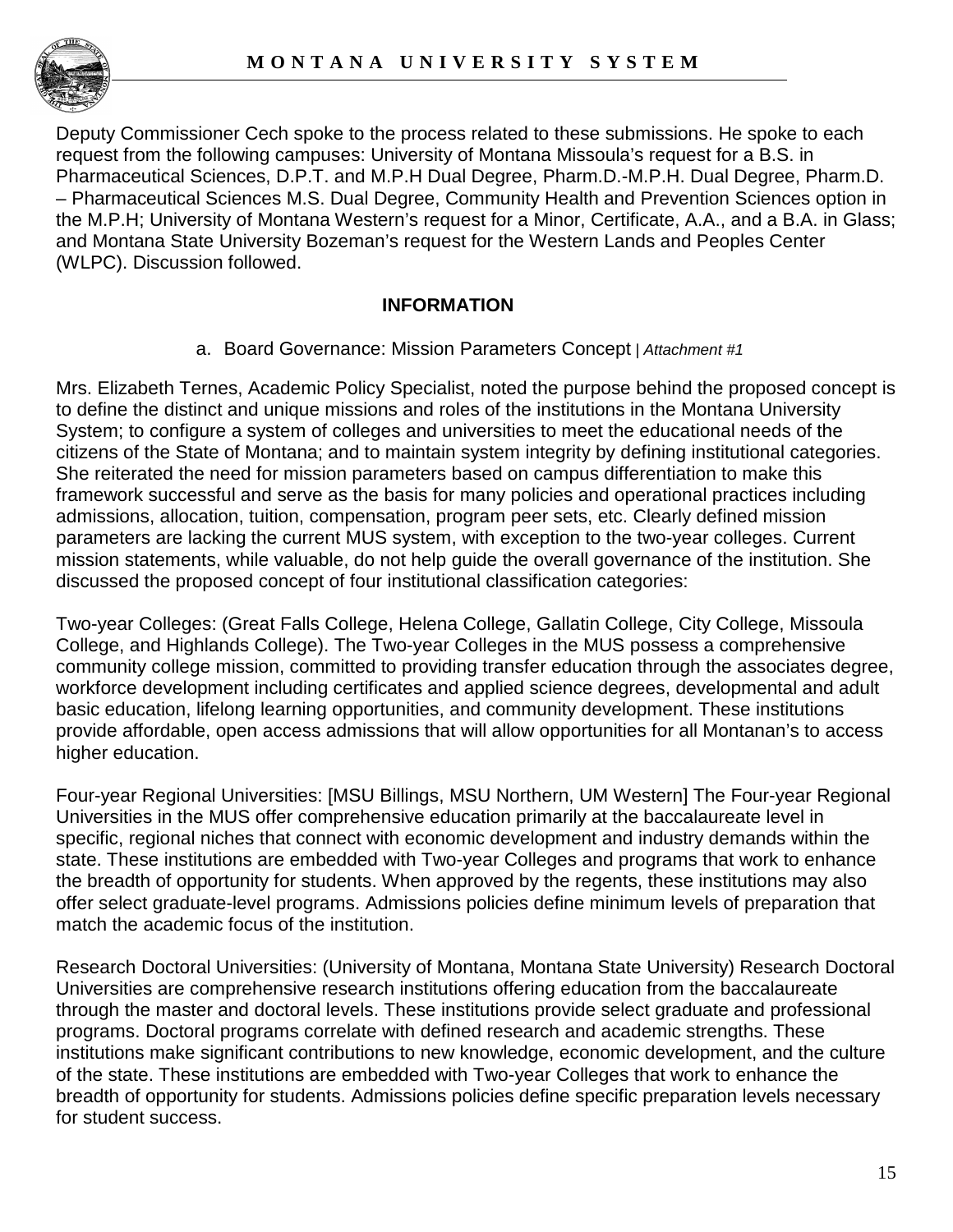

Deputy Commissioner Cech spoke to the process related to these submissions. He spoke to each request from the following campuses: University of Montana Missoula's request for a B.S. in Pharmaceutical Sciences, D.P.T. and M.P.H Dual Degree, Pharm.D.-M.P.H. Dual Degree, Pharm.D. – Pharmaceutical Sciences M.S. Dual Degree, Community Health and Prevention Sciences option in the M.P.H; University of Montana Western's request for a Minor, Certificate, A.A., and a B.A. in Glass; and Montana State University Bozeman's request for the Western Lands and Peoples Center (WLPC). Discussion followed.

## **INFORMATION**

a. Board Governance: Mission Parameters Concept *| Attachment #1*

Mrs. Elizabeth Ternes, Academic Policy Specialist, noted the purpose behind the proposed concept is to define the distinct and unique missions and roles of the institutions in the Montana University System; to configure a system of colleges and universities to meet the educational needs of the citizens of the State of Montana; and to maintain system integrity by defining institutional categories. She reiterated the need for mission parameters based on campus differentiation to make this framework successful and serve as the basis for many policies and operational practices including admissions, allocation, tuition, compensation, program peer sets, etc. Clearly defined mission parameters are lacking the current MUS system, with exception to the two-year colleges. Current mission statements, while valuable, do not help guide the overall governance of the institution. She discussed the proposed concept of four institutional classification categories:

Two-year Colleges: (Great Falls College, Helena College, Gallatin College, City College, Missoula College, and Highlands College). The Two-year Colleges in the MUS possess a comprehensive community college mission, committed to providing transfer education through the associates degree, workforce development including certificates and applied science degrees, developmental and adult basic education, lifelong learning opportunities, and community development. These institutions provide affordable, open access admissions that will allow opportunities for all Montanan's to access higher education.

Four-year Regional Universities: [MSU Billings, MSU Northern, UM Western] The Four-year Regional Universities in the MUS offer comprehensive education primarily at the baccalaureate level in specific, regional niches that connect with economic development and industry demands within the state. These institutions are embedded with Two-year Colleges and programs that work to enhance the breadth of opportunity for students. When approved by the regents, these institutions may also offer select graduate-level programs. Admissions policies define minimum levels of preparation that match the academic focus of the institution.

Research Doctoral Universities: (University of Montana, Montana State University) Research Doctoral Universities are comprehensive research institutions offering education from the baccalaureate through the master and doctoral levels. These institutions provide select graduate and professional programs. Doctoral programs correlate with defined research and academic strengths. These institutions make significant contributions to new knowledge, economic development, and the culture of the state. These institutions are embedded with Two-year Colleges that work to enhance the breadth of opportunity for students. Admissions policies define specific preparation levels necessary for student success.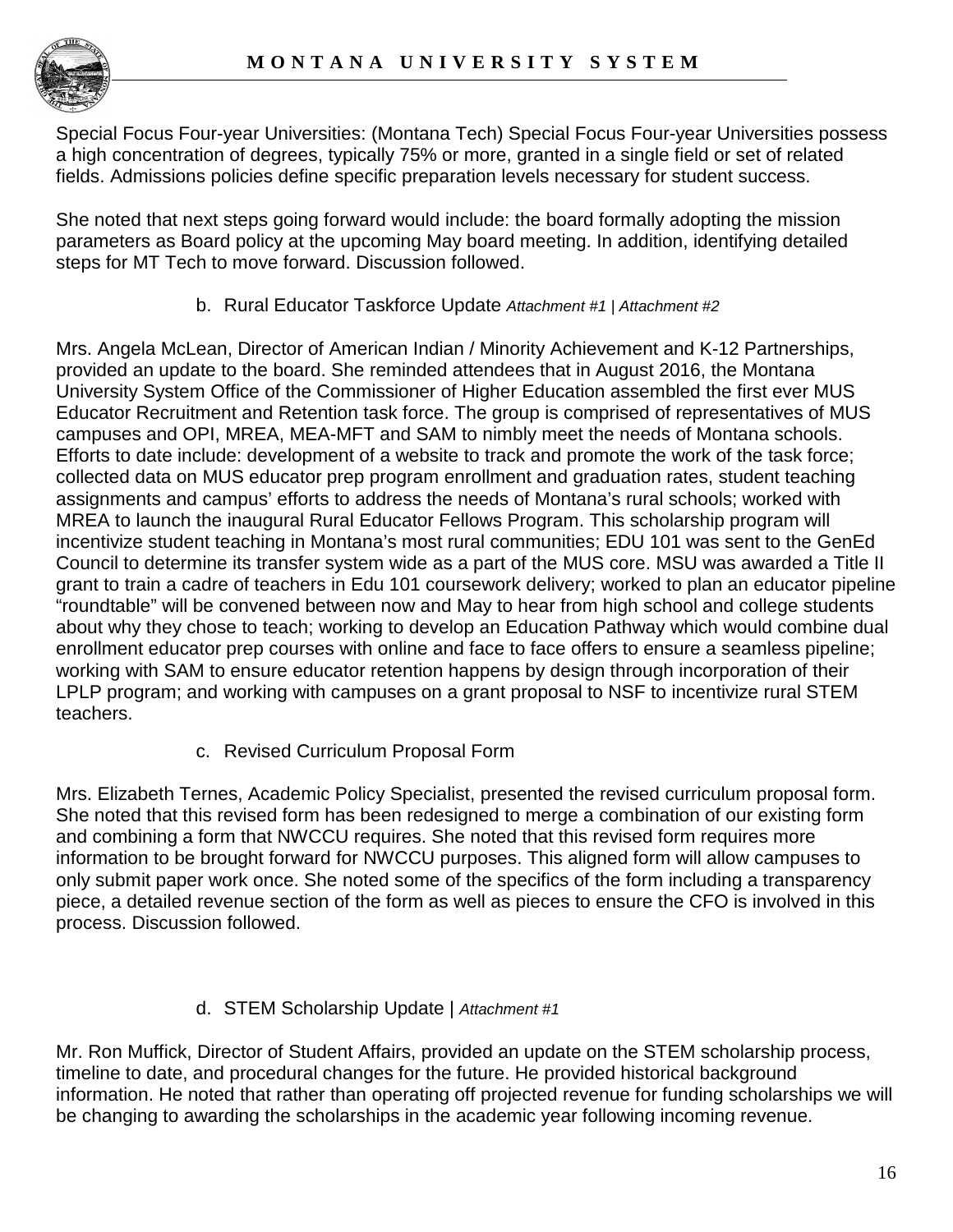Special Focus Four-year Universities: (Montana Tech) Special Focus Four-year Universities possess a high concentration of degrees, typically 75% or more, granted in a single field or set of related fields. Admissions policies define specific preparation levels necessary for student success.

She noted that next steps going forward would include: the board formally adopting the mission parameters as Board policy at the upcoming May board meeting. In addition, identifying detailed steps for MT Tech to move forward. Discussion followed.

b. Rural Educator Taskforce Update *Attachment #1 | Attachment #2* 

Mrs. Angela McLean, Director of American Indian / Minority Achievement and K-12 Partnerships, provided an update to the board. She reminded attendees that in August 2016, the Montana University System Office of the Commissioner of Higher Education assembled the first ever MUS Educator Recruitment and Retention task force. The group is comprised of representatives of MUS campuses and OPI, MREA, MEA-MFT and SAM to nimbly meet the needs of Montana schools. Efforts to date include: development of a website to track and promote the work of the task force; collected data on MUS educator prep program enrollment and graduation rates, student teaching assignments and campus' efforts to address the needs of Montana's rural schools; worked with MREA to launch the inaugural Rural Educator Fellows Program. This scholarship program will incentivize student teaching in Montana's most rural communities; EDU 101 was sent to the GenEd Council to determine its transfer system wide as a part of the MUS core. MSU was awarded a Title II grant to train a cadre of teachers in Edu 101 coursework delivery; worked to plan an educator pipeline "roundtable" will be convened between now and May to hear from high school and college students about why they chose to teach; working to develop an Education Pathway which would combine dual enrollment educator prep courses with online and face to face offers to ensure a seamless pipeline; working with SAM to ensure educator retention happens by design through incorporation of their LPLP program; and working with campuses on a grant proposal to NSF to incentivize rural STEM teachers.

c. Revised Curriculum Proposal Form

Mrs. Elizabeth Ternes, Academic Policy Specialist, presented the revised curriculum proposal form. She noted that this revised form has been redesigned to merge a combination of our existing form and combining a form that NWCCU requires. She noted that this revised form requires more information to be brought forward for NWCCU purposes. This aligned form will allow campuses to only submit paper work once. She noted some of the specifics of the form including a transparency piece, a detailed revenue section of the form as well as pieces to ensure the CFO is involved in this process. Discussion followed.

## d. STEM Scholarship Update | *Attachment #1*

Mr. Ron Muffick, Director of Student Affairs, provided an update on the STEM scholarship process, timeline to date, and procedural changes for the future. He provided historical background information. He noted that rather than operating off projected revenue for funding scholarships we will be changing to awarding the scholarships in the academic year following incoming revenue.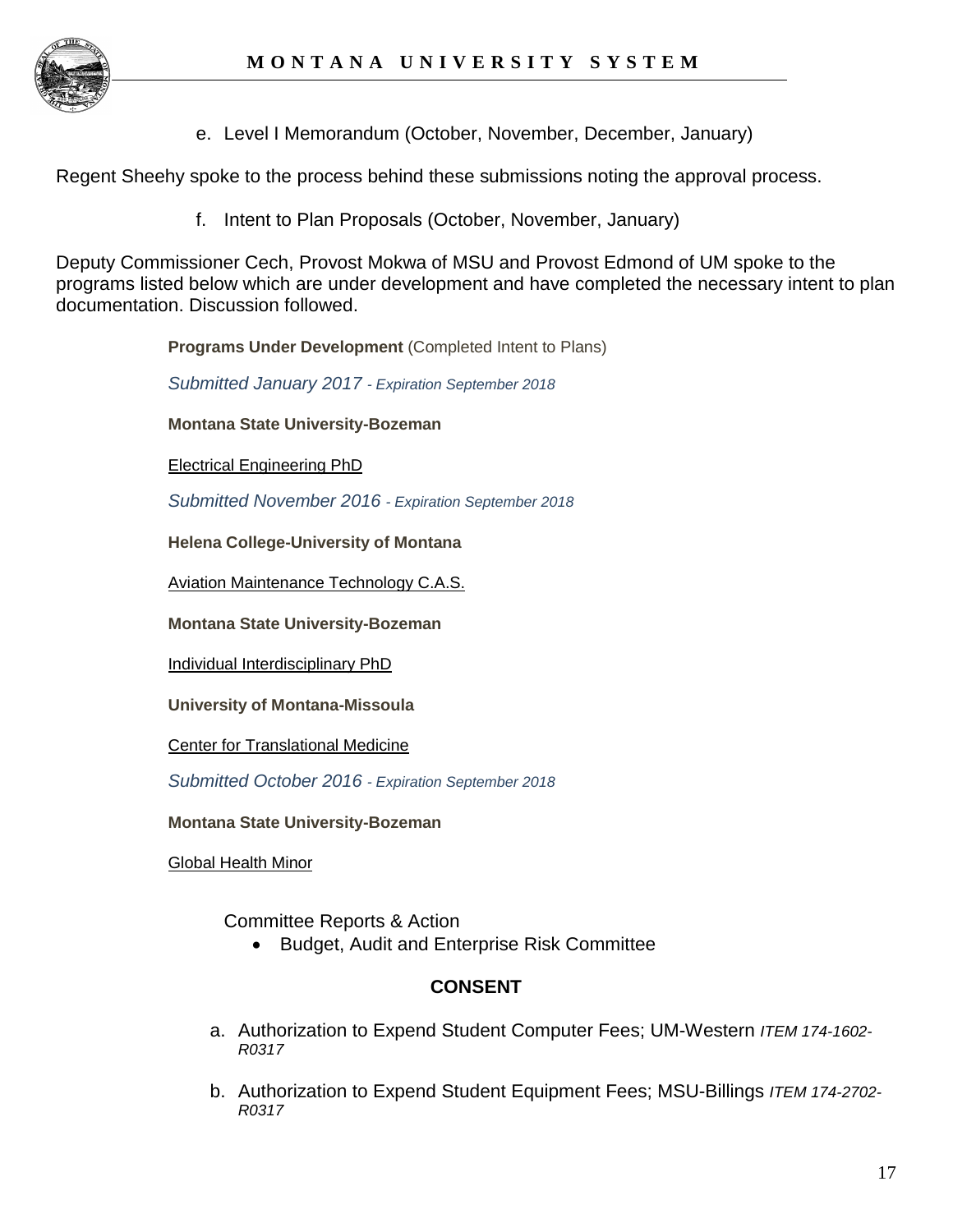e. Level I Memorandum (October, November, December, January)

Regent Sheehy spoke to the process behind these submissions noting the approval process.

f. Intent to Plan Proposals (October, November, January)

Deputy Commissioner Cech, Provost Mokwa of MSU and Provost Edmond of UM spoke to the programs listed below which are under development and have completed the necessary intent to plan documentation. Discussion followed.

**Programs Under Development** (Completed Intent to Plans)

*Submitted January 2017 - Expiration September 2018*

**Montana State University-Bozeman**

[Electrical Engineering PhD](http://mus.edu/che/arsa/IntenttoPlan/2017/MSU/I2p_MSU_Jan2017__PhDElectrical%20Engineering.pdf)

*Submitted November 2016 - Expiration September 2018*

**Helena College-University of Montana**

[Aviation Maintenance Technology C.A.S.](http://mus.edu/che/arsa/IntenttoPlan/2016/HC/I2P_HC_Nov2016_AviationMaintenanceCAS.pdf)

**Montana State University-Bozeman**

[Individual Interdisciplinary PhD](http://mus.edu/che/arsa/IntenttoPlan/2016/MSU/I2P_MSU_Nov2016_IndividualInterdisciplinaryPhD.pdf)

**University of Montana-Missoula**

[Center for Translational Medicine](http://mus.edu/che/arsa/IntenttoPlan/2016/UM/I2P_UM_Nov2016_CenterforTranslationalMedicine.pdf)

*Submitted October 2016 - Expiration September 2018*

**Montana State University-Bozeman**

[Global Health Minor](http://mus.edu/che/arsa/IntenttoPlan/2016/MSU/I2P_MSU_Oct2016_GlobalHealthMinor2.pdf)

Committee Reports & Action

• Budget, Audit and Enterprise Risk Committee

## **CONSENT**

- a. Authorization to Expend Student Computer Fees; UM-Western *ITEM 174-1602- R0317*
- b. Authorization to Expend Student Equipment Fees; MSU-Billings *ITEM 174-2702- R0317*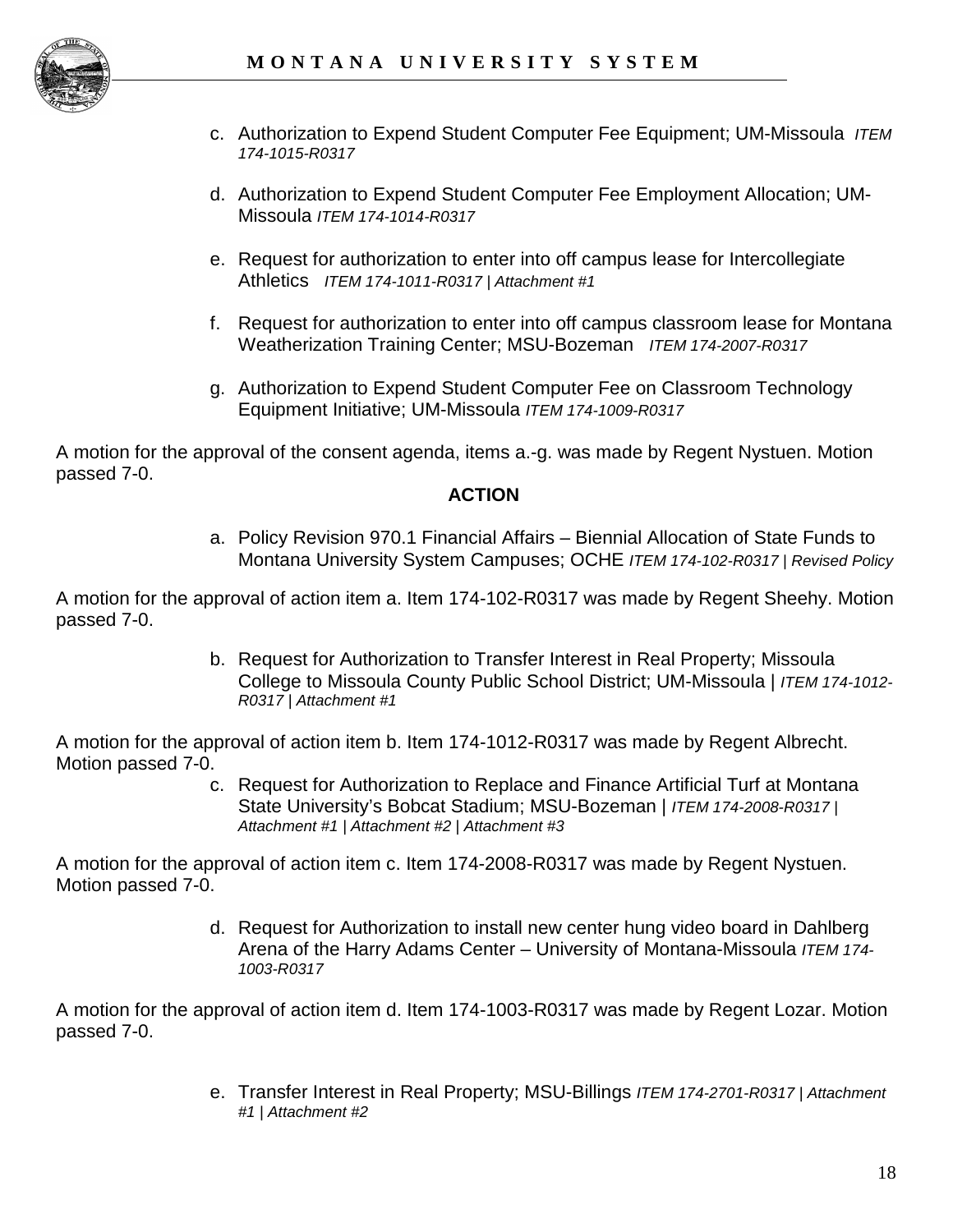

- c. Authorization to Expend Student Computer Fee Equipment; UM-Missoula *ITEM 174-1015-R0317*
- d. Authorization to Expend Student Computer Fee Employment Allocation; UM-Missoula *ITEM 174-1014-R0317*
- e. Request for authorization to enter into off campus lease for Intercollegiate Athletics *ITEM 174-1011-R0317 | Attachment #1*
- f. Request for authorization to enter into off campus classroom lease for Montana Weatherization Training Center; MSU-Bozeman *ITEM 174-2007-R0317*
- g. Authorization to Expend Student Computer Fee on Classroom Technology Equipment Initiative; UM-Missoula *ITEM 174-1009-R0317*

A motion for the approval of the consent agenda, items a.-g. was made by Regent Nystuen. Motion passed 7-0.

#### **ACTION**

a. Policy Revision 970.1 Financial Affairs – Biennial Allocation of State Funds to Montana University System Campuses; OCHE *ITEM 174-102-R0317 | Revised Policy*

A motion for the approval of action item a. Item 174-102-R0317 was made by Regent Sheehy. Motion passed 7-0.

> b. Request for Authorization to Transfer Interest in Real Property; Missoula College to Missoula County Public School District; UM-Missoula | *ITEM 174-1012- R0317 | Attachment #1*

A motion for the approval of action item b. Item 174-1012-R0317 was made by Regent Albrecht. Motion passed 7-0.

> c. Request for Authorization to Replace and Finance Artificial Turf at Montana State University's Bobcat Stadium; MSU-Bozeman | *ITEM 174-2008-R0317 | Attachment #1 | Attachment #2 | Attachment #3*

A motion for the approval of action item c. Item 174-2008-R0317 was made by Regent Nystuen. Motion passed 7-0.

> d. Request for Authorization to install new center hung video board in Dahlberg Arena of the Harry Adams Center – University of Montana-Missoula *ITEM 174- 1003-R0317*

A motion for the approval of action item d. Item 174-1003-R0317 was made by Regent Lozar. Motion passed 7-0.

> e. Transfer Interest in Real Property; MSU-Billings *ITEM 174-2701-R0317 | Attachment #1 | Attachment #2*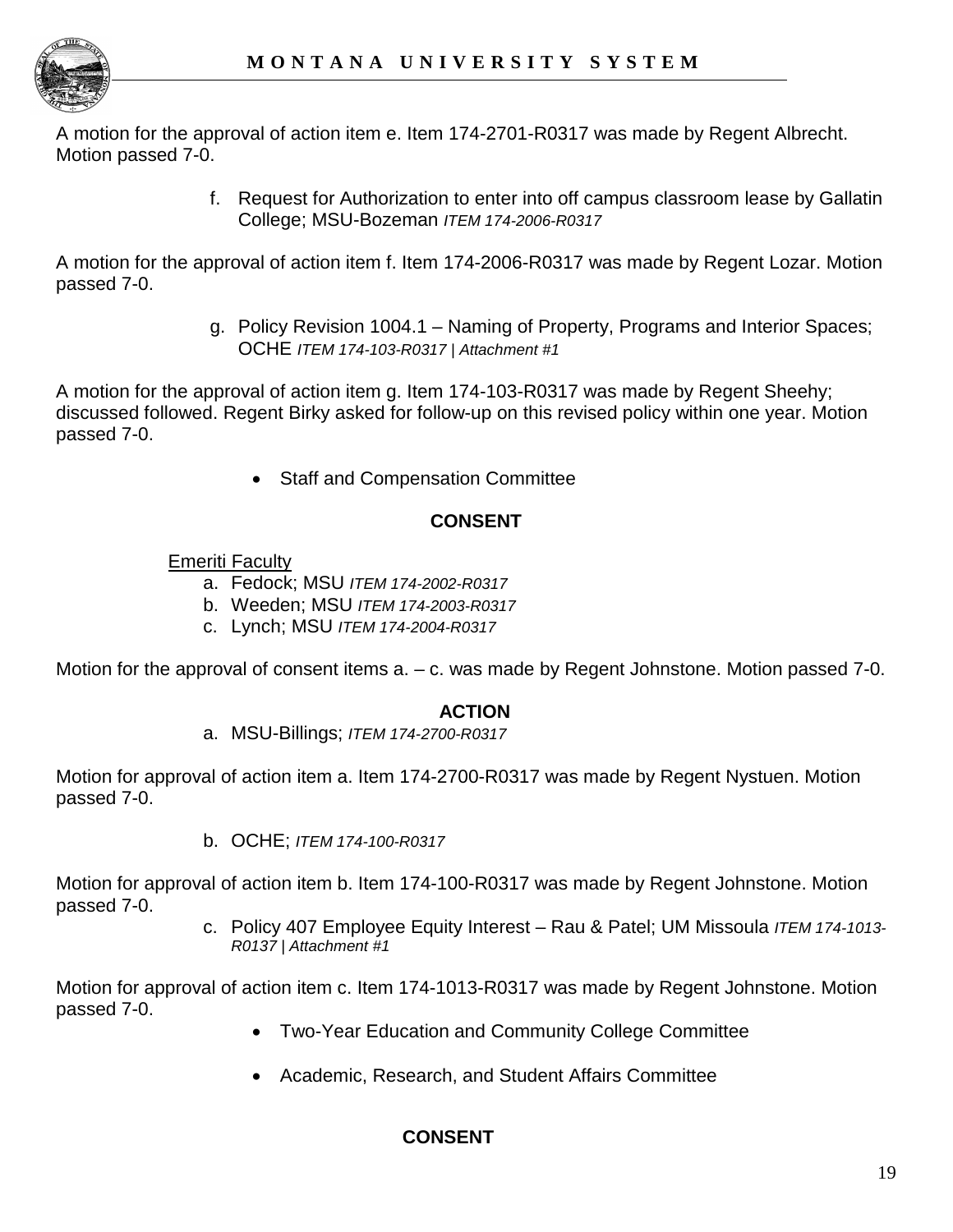

A motion for the approval of action item e. Item 174-2701-R0317 was made by Regent Albrecht. Motion passed 7-0.

> f. Request for Authorization to enter into off campus classroom lease by Gallatin College; MSU-Bozeman *ITEM 174-2006-R0317*

A motion for the approval of action item f. Item 174-2006-R0317 was made by Regent Lozar. Motion passed 7-0.

> g. Policy Revision 1004.1 – Naming of Property, Programs and Interior Spaces; OCHE *ITEM 174-103-R0317 | Attachment #1*

A motion for the approval of action item g. Item 174-103-R0317 was made by Regent Sheehy; discussed followed. Regent Birky asked for follow-up on this revised policy within one year. Motion passed 7-0.

• Staff and Compensation Committee

# **CONSENT**

Emeriti Faculty

- a. Fedock; MSU *ITEM 174-2002-R0317*
- b. Weeden; MSU *ITEM 174-2003-R0317*
- c. Lynch; MSU *ITEM 174-2004-R0317*

Motion for the approval of consent items a. – c. was made by Regent Johnstone. Motion passed 7-0.

# **ACTION**

a. MSU-Billings; *ITEM 174-2700-R0317*

Motion for approval of action item a. Item 174-2700-R0317 was made by Regent Nystuen. Motion passed 7-0.

b. OCHE; *ITEM 174-100-R0317*

Motion for approval of action item b. Item 174-100-R0317 was made by Regent Johnstone. Motion passed 7-0.

> c. Policy 407 Employee Equity Interest – Rau & Patel; UM Missoula *ITEM 174-1013- R0137 | Attachment #1*

Motion for approval of action item c. Item 174-1013-R0317 was made by Regent Johnstone. Motion passed 7-0.

- Two-Year Education and Community College Committee
- Academic, Research, and Student Affairs Committee

# **CONSENT**